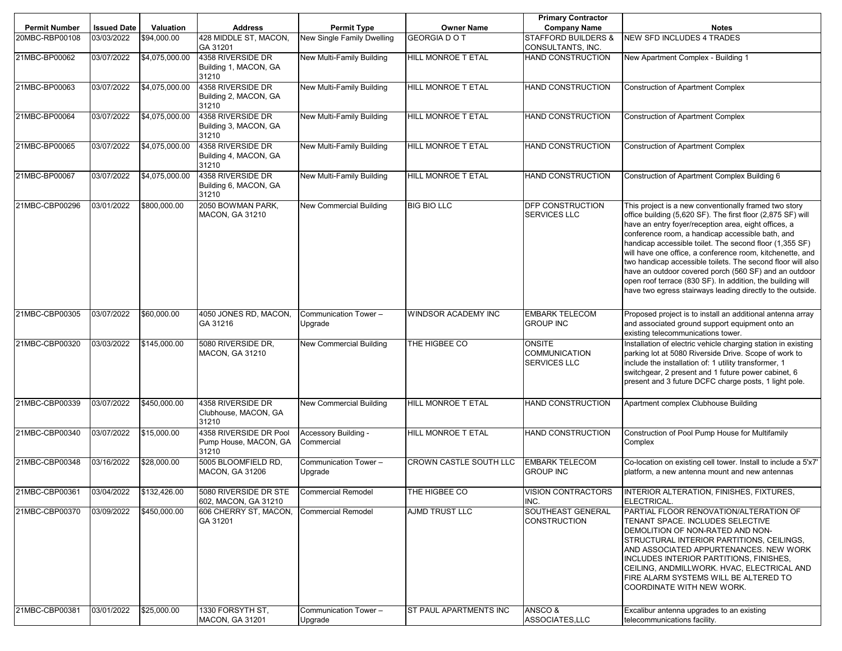|                      |                    |                |                                                                  |                                    |                        | <b>Primary Contractor</b>                                    |                                                                                                                                                                                                                                                                                                                                                                                                                                                                                                                                                                                                              |
|----------------------|--------------------|----------------|------------------------------------------------------------------|------------------------------------|------------------------|--------------------------------------------------------------|--------------------------------------------------------------------------------------------------------------------------------------------------------------------------------------------------------------------------------------------------------------------------------------------------------------------------------------------------------------------------------------------------------------------------------------------------------------------------------------------------------------------------------------------------------------------------------------------------------------|
| <b>Permit Number</b> | <b>Issued Date</b> | Valuation      | <b>Address</b>                                                   | <b>Permit Type</b>                 | <b>Owner Name</b>      | <b>Company Name</b>                                          | <b>Notes</b>                                                                                                                                                                                                                                                                                                                                                                                                                                                                                                                                                                                                 |
| 20MBC-RBP00108       | 03/03/2022         | \$94,000.00    | 428 MIDDLE ST, MACON,<br>GA 31201                                | New Single Family Dwelling         | <b>GEORGIA DO T</b>    | <b>STAFFORD BUILDERS &amp;</b><br><b>CONSULTANTS, INC.</b>   | <b>NEW SFD INCLUDES 4 TRADES</b>                                                                                                                                                                                                                                                                                                                                                                                                                                                                                                                                                                             |
| 21MBC-BP00062        | 03/07/2022         | \$4,075,000.00 | 4358 RIVERSIDE DR<br>Building 1, MACON, GA<br>31210              | New Multi-Family Building          | HILL MONROE T ETAL     | <b>HAND CONSTRUCTION</b>                                     | New Apartment Complex - Building 1                                                                                                                                                                                                                                                                                                                                                                                                                                                                                                                                                                           |
| 21MBC-BP00063        | 03/07/2022         | \$4,075,000.00 | 4358 RIVERSIDE DR<br>Building 2, MACON, GA<br>31210              | New Multi-Family Building          | HILL MONROE T ETAL     | <b>HAND CONSTRUCTION</b>                                     | <b>Construction of Apartment Complex</b>                                                                                                                                                                                                                                                                                                                                                                                                                                                                                                                                                                     |
| 21MBC-BP00064        | 03/07/2022         | \$4,075,000.00 | 4358 RIVERSIDE DR<br>Building 3, MACON, GA<br>31210              | New Multi-Family Building          | HILL MONROE T ETAL     | <b>HAND CONSTRUCTION</b>                                     | <b>Construction of Apartment Complex</b>                                                                                                                                                                                                                                                                                                                                                                                                                                                                                                                                                                     |
| 21MBC-BP00065        | 03/07/2022         | \$4,075,000.00 | 4358 RIVERSIDE DR<br>Building 4, MACON, GA<br>31210              | New Multi-Family Building          | HILL MONROE T ETAL     | HAND CONSTRUCTION                                            | <b>Construction of Apartment Complex</b>                                                                                                                                                                                                                                                                                                                                                                                                                                                                                                                                                                     |
| 21MBC-BP00067        | 03/07/2022         | \$4,075,000.00 | 4358 RIVERSIDE DR<br>Building 6, MACON, GA<br>31210              | New Multi-Family Building          | HILL MONROE T ETAL     | <b>HAND CONSTRUCTION</b>                                     | Construction of Apartment Complex Building 6                                                                                                                                                                                                                                                                                                                                                                                                                                                                                                                                                                 |
| 21MBC-CBP00296       | 03/01/2022         | \$800,000.00   | 2050 BOWMAN PARK,<br><b>MACON, GA 31210</b>                      | New Commercial Building            | <b>BIG BIO LLC</b>     | <b>DFP CONSTRUCTION</b><br><b>SERVICES LLC</b>               | This project is a new conventionally framed two story<br>office building (5,620 SF). The first floor (2,875 SF) will<br>have an entry foyer/reception area, eight offices, a<br>conference room, a handicap accessible bath, and<br>handicap accessible toilet. The second floor (1,355 SF)<br>will have one office, a conference room, kitchenette, and<br>two handicap accessible toilets. The second floor will also<br>have an outdoor covered porch (560 SF) and an outdoor<br>open roof terrace (830 SF). In addition, the building will<br>have two egress stairways leading directly to the outside. |
| 21MBC-CBP00305       | 03/07/2022         | \$60,000.00    | 4050 JONES RD, MACON,<br>GA 31216                                | Communication Tower -<br>Upgrade   | WINDSOR ACADEMY INC    | <b>EMBARK TELECOM</b><br><b>GROUP INC</b>                    | Proposed project is to install an additional antenna array<br>and associated ground support equipment onto an<br>existing telecommunications tower.                                                                                                                                                                                                                                                                                                                                                                                                                                                          |
| 21MBC-CBP00320       | 03/03/2022         | \$145,000.00   | 5080 RIVERSIDE DR.<br>MACON, GA 31210                            | New Commercial Building            | THE HIGBEE CO          | <b>ONSITE</b><br><b>COMMUNICATION</b><br><b>SERVICES LLC</b> | Installation of electric vehicle charging station in existing<br>parking lot at 5080 Riverside Drive. Scope of work to<br>include the installation of: 1 utility transformer, 1<br>switchgear, 2 present and 1 future power cabinet, 6<br>present and 3 future DCFC charge posts, 1 light pole.                                                                                                                                                                                                                                                                                                              |
| 21MBC-CBP00339       | 03/07/2022         | \$450,000.00   | 4358 RIVERSIDE DR<br>Clubhouse, MACON, GA<br>31210               | New Commercial Building            | HILL MONROE T ETAL     | <b>HAND CONSTRUCTION</b>                                     | Apartment complex Clubhouse Building                                                                                                                                                                                                                                                                                                                                                                                                                                                                                                                                                                         |
| 21MBC-CBP00340       | 03/07/2022         | \$15,000.00    | 4358 RIVERSIDE DR Pool<br>Pump House, MACON, GA<br>31210         | Accessory Building -<br>Commercial | HILL MONROE T ETAL     | <b>HAND CONSTRUCTION</b>                                     | Construction of Pool Pump House for Multifamily<br>Complex                                                                                                                                                                                                                                                                                                                                                                                                                                                                                                                                                   |
| 21MBC-CBP00348       | 03/16/2022         | \$28,000.00    | 5005 BLOOMFIELD RD.<br><b>MACON, GA 31206</b>                    | Communication Tower -<br>Upgrade   | CROWN CASTLE SOUTH LLC | <b>EMBARK TELECOM</b><br><b>GROUP INC</b>                    | Co-location on existing cell tower. Install to include a 5'x7'<br>platform, a new antenna mount and new antennas                                                                                                                                                                                                                                                                                                                                                                                                                                                                                             |
| 21MBC-CBP00361       | 03/04/2022         | \$132,426.00   | 5080 RIVERSIDE DR STE Commercial Remodel<br>602, MACON, GA 31210 |                                    | THE HIGBEE CO          | <b>VISION CONTRACTORS</b><br>INC.                            | <b>INTERIOR ALTERATION, FINISHES, FIXTURES,</b><br>ELECTRICAL.                                                                                                                                                                                                                                                                                                                                                                                                                                                                                                                                               |
| 21MBC-CBP00370       | 03/09/2022         | \$450,000.00   | 606 CHERRY ST, MACON,<br>GA 31201                                | <b>Commercial Remodel</b>          | <b>AJMD TRUST LLC</b>  | <b>SOUTHEAST GENERAL</b><br><b>CONSTRUCTION</b>              | PARTIAL FLOOR RENOVATION/ALTERATION OF<br>TENANT SPACE. INCLUDES SELECTIVE<br>DEMOLITION OF NON-RATED AND NON-<br>STRUCTURAL INTERIOR PARTITIONS, CEILINGS,<br>AND ASSOCIATED APPURTENANCES. NEW WORK<br>INCLUDES INTERIOR PARTITIONS, FINISHES,<br>CEILING, ANDMILLWORK. HVAC, ELECTRICAL AND<br>FIRE ALARM SYSTEMS WILL BE ALTERED TO<br>COORDINATE WITH NEW WORK.                                                                                                                                                                                                                                         |
| 21MBC-CBP00381       | 03/01/2022         | \$25,000.00    | 1330 FORSYTH ST,<br><b>MACON, GA 31201</b>                       | Communication Tower -<br>Upgrade   | ST PAUL APARTMENTS INC | ANSCO &<br>ASSOCIATES, LLC                                   | Excalibur antenna upgrades to an existing<br>telecommunications facility.                                                                                                                                                                                                                                                                                                                                                                                                                                                                                                                                    |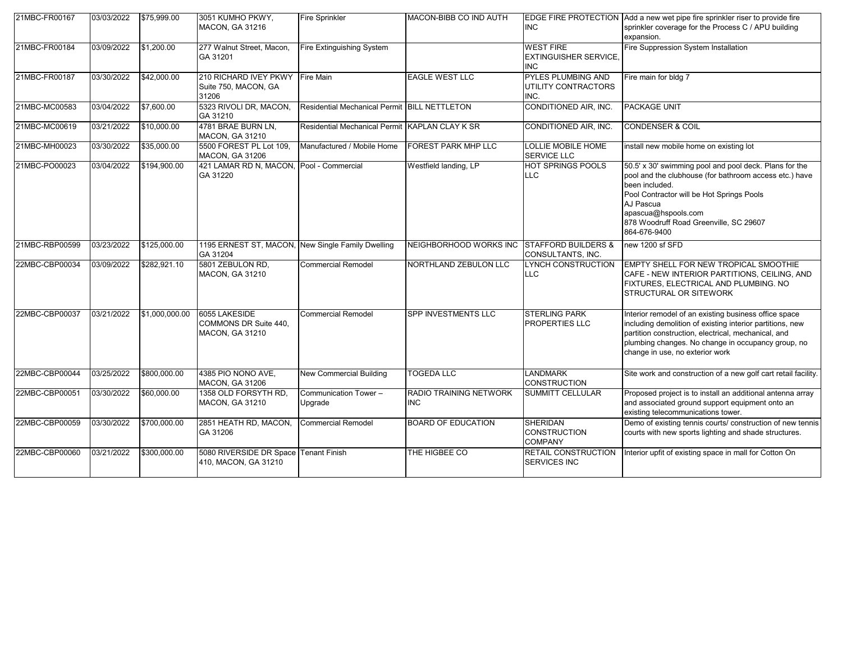| 21MBC-FR00167  | 03/03/2022 | \$75,999.00    | 3051 KUMHO PKWY,<br><b>MACON, GA 31216</b>                       | <b>Fire Sprinkler</b>                          | MACON-BIBB CO IND AUTH               | <b>INC</b>                                                     | EDGE FIRE PROTECTION Add a new wet pipe fire sprinkler riser to provide fire<br>sprinkler coverage for the Process C / APU building<br>expansion.                                                                                                                             |
|----------------|------------|----------------|------------------------------------------------------------------|------------------------------------------------|--------------------------------------|----------------------------------------------------------------|-------------------------------------------------------------------------------------------------------------------------------------------------------------------------------------------------------------------------------------------------------------------------------|
| 21MBC-FR00184  | 03/09/2022 | \$1,200.00     | 277 Walnut Street, Macon,<br>GA 31201                            | Fire Extinguishing System                      |                                      | <b>WEST FIRE</b><br><b>EXTINGUISHER SERVICE.</b><br><b>INC</b> | Fire Suppression System Installation                                                                                                                                                                                                                                          |
| 21MBC-FR00187  | 03/30/2022 | \$42,000.00    | 210 RICHARD IVEY PKWY<br>Suite 750, MACON, GA<br>31206           | Fire Main                                      | <b>EAGLE WEST LLC</b>                | <b>PYLES PLUMBING AND</b><br>UTILITY CONTRACTORS<br>INC.       | Fire main for bldg 7                                                                                                                                                                                                                                                          |
| 21MBC-MC00583  | 03/04/2022 | \$7,600.00     | 5323 RIVOLI DR, MACON,<br>GA 31210                               | Residential Mechanical Permit BILL NETTLETON   |                                      | CONDITIONED AIR, INC.                                          | <b>PACKAGE UNIT</b>                                                                                                                                                                                                                                                           |
| 21MBC-MC00619  | 03/21/2022 | \$10,000.00    | 4781 BRAE BURN LN,<br>MACON, GA 31210                            | Residential Mechanical Permit KAPLAN CLAY K SR |                                      | CONDITIONED AIR, INC.                                          | <b>CONDENSER &amp; COIL</b>                                                                                                                                                                                                                                                   |
| 21MBC-MH00023  | 03/30/2022 | \$35,000.00    | 5500 FOREST PL Lot 109.<br><b>MACON, GA 31206</b>                | Manufactured / Mobile Home                     | <b>FOREST PARK MHP LLC</b>           | <b>LOLLIE MOBILE HOME</b><br><b>SERVICE LLC</b>                | install new mobile home on existing lot                                                                                                                                                                                                                                       |
| 21MBC-PO00023  | 03/04/2022 | \$194,900.00   | 421 LAMAR RD N, MACON, Pool - Commercial<br>GA 31220             |                                                | Westfield landing, LP                | <b>HOT SPRINGS POOLS</b><br><b>LLC</b>                         | 50.5' x 30' swimming pool and pool deck. Plans for the<br>pool and the clubhouse (for bathroom access etc.) have<br>been included.<br>Pool Contractor will be Hot Springs Pools<br>AJ Pascua<br>apascua@hspools.com<br>878 Woodruff Road Greenville, SC 29607<br>864-676-9400 |
| 21MBC-RBP00599 | 03/23/2022 | \$125,000.00   | 1195 ERNEST ST, MACON, New Single Family Dwelling<br>GA 31204    |                                                | NEIGHBORHOOD WORKS INC               | <b>STAFFORD BUILDERS &amp;</b><br>CONSULTANTS, INC.            | new 1200 sf SFD                                                                                                                                                                                                                                                               |
| 22MBC-CBP00034 | 03/09/2022 | \$282.921.10   | 5801 ZEBULON RD,<br><b>MACON, GA 31210</b>                       | <b>Commercial Remodel</b>                      | <b>NORTHLAND ZEBULON LLC</b>         | LYNCH CONSTRUCTION<br><b>LLC</b>                               | EMPTY SHELL FOR NEW TROPICAL SMOOTHIE<br>CAFE - NEW INTERIOR PARTITIONS, CEILING, AND<br>FIXTURES, ELECTRICAL AND PLUMBING. NO<br><b>STRUCTURAL OR SITEWORK</b>                                                                                                               |
| 22MBC-CBP00037 | 03/21/2022 | \$1,000,000.00 | 6055 LAKESIDE<br>COMMONS DR Suite 440.<br><b>MACON, GA 31210</b> | <b>Commercial Remodel</b>                      | SPP INVESTMENTS LLC                  | <b>STERLING PARK</b><br><b>PROPERTIES LLC</b>                  | Interior remodel of an existing business office space<br>including demolition of existing interior partitions, new<br>partition construction, electrical, mechanical, and<br>plumbing changes. No change in occupancy group, no<br>change in use, no exterior work            |
| 22MBC-CBP00044 | 03/25/2022 | \$800,000.00   | 4385 PIO NONO AVE,<br><b>MACON, GA 31206</b>                     | New Commercial Building                        | TOGEDA LLC                           | <b>LANDMARK</b><br><b>CONSTRUCTION</b>                         | Site work and construction of a new golf cart retail facility.                                                                                                                                                                                                                |
| 22MBC-CBP00051 | 03/30/2022 | \$60,000.00    | 1358 OLD FORSYTH RD,<br><b>MACON, GA 31210</b>                   | Communication Tower -<br>Upgrade               | RADIO TRAINING NETWORK<br><b>INC</b> | <b>SUMMITT CELLULAR</b>                                        | Proposed project is to install an additional antenna array<br>and associated ground support equipment onto an<br>existing telecommunications tower.                                                                                                                           |
| 22MBC-CBP00059 | 03/30/2022 | \$700,000.00   | 2851 HEATH RD, MACON,<br>GA 31206                                | <b>Commercial Remodel</b>                      | <b>BOARD OF EDUCATION</b>            | <b>SHERIDAN</b><br><b>CONSTRUCTION</b><br><b>COMPANY</b>       | Demo of existing tennis courts/ construction of new tennis<br>courts with new sports lighting and shade structures.                                                                                                                                                           |
| 22MBC-CBP00060 | 03/21/2022 | \$300,000.00   | 5080 RIVERSIDE DR Space Tenant Finish<br>410, MACON, GA 31210    |                                                | THE HIGBEE CO                        | <b>RETAIL CONSTRUCTION</b><br><b>SERVICES INC</b>              | Interior upfit of existing space in mall for Cotton On                                                                                                                                                                                                                        |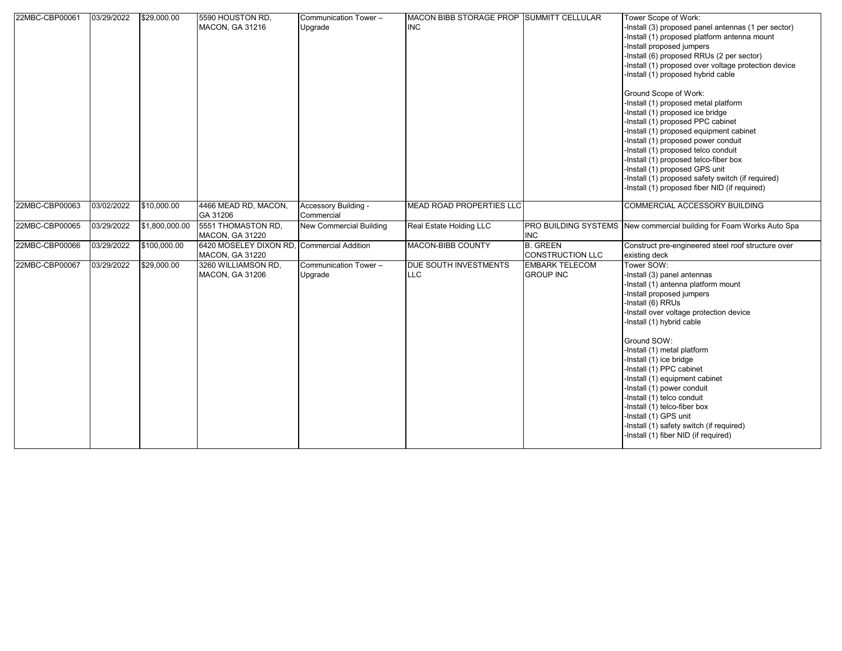| 22MBC-CBP00061 | 03/29/2022 | \$29,000.00            | 5590 HOUSTON RD,<br><b>MACON, GA 31216</b>       | Communication Tower -<br>Upgrade   | MACON BIBB STORAGE PROP SUMMITT CELLULAR<br><b>INC</b> |                                           | Tower Scope of Work:<br>-Install (3) proposed panel antennas (1 per sector)<br>-Install (1) proposed platform antenna mount<br>-Install proposed jumpers<br>-Install (6) proposed RRUs (2 per sector)<br>-Install (1) proposed over voltage protection device<br>-Install (1) proposed hybrid cable<br>Ground Scope of Work:<br>-Install (1) proposed metal platform<br>-Install (1) proposed ice bridge<br>-Install (1) proposed PPC cabinet<br>-Install (1) proposed equipment cabinet<br>-Install (1) proposed power conduit<br>-Install (1) proposed telco conduit<br>-Install (1) proposed telco-fiber box<br>-Install (1) proposed GPS unit<br>-Install (1) proposed safety switch (if required)<br>-Install (1) proposed fiber NID (if required) |
|----------------|------------|------------------------|--------------------------------------------------|------------------------------------|--------------------------------------------------------|-------------------------------------------|---------------------------------------------------------------------------------------------------------------------------------------------------------------------------------------------------------------------------------------------------------------------------------------------------------------------------------------------------------------------------------------------------------------------------------------------------------------------------------------------------------------------------------------------------------------------------------------------------------------------------------------------------------------------------------------------------------------------------------------------------------|
| 22MBC-CBP00063 | 03/02/2022 | \$10,000.00            | 4466 MEAD RD, MACON,<br>GA 31206                 | Accessory Building -<br>Commercial | MEAD ROAD PROPERTIES LLC                               |                                           | COMMERCIAL ACCESSORY BUILDING                                                                                                                                                                                                                                                                                                                                                                                                                                                                                                                                                                                                                                                                                                                           |
| 22MBC-CBP00065 | 03/29/2022 | $\sqrt{$1,800,000}.00$ | 5551 THOMASTON RD,<br><b>MACON, GA 31220</b>     | New Commercial Building            | Real Estate Holding LLC                                | <b>PRO BUILDING SYSTEMS</b><br><b>INC</b> | New commercial building for Foam Works Auto Spa                                                                                                                                                                                                                                                                                                                                                                                                                                                                                                                                                                                                                                                                                                         |
| 22MBC-CBP00066 | 03/29/2022 | \$100,000.00           | 6420 MOSELEY DIXON RD.<br><b>MACON, GA 31220</b> | <b>Commercial Addition</b>         | MACON-BIBB COUNTY                                      | <b>B.</b> GREEN<br>CONSTRUCTION LLC       | Construct pre-engineered steel roof structure over<br>existing deck                                                                                                                                                                                                                                                                                                                                                                                                                                                                                                                                                                                                                                                                                     |
| 22MBC-CBP00067 | 03/29/2022 | \$29,000.00            | 3260 WILLIAMSON RD.<br>MACON, GA 31206           | Communication Tower-<br>Upgrade    | <b>DUE SOUTH INVESTMENTS</b><br><b>LLC</b>             | <b>EMBARK TELECOM</b><br><b>GROUP INC</b> | Tower SOW:<br>-Install (3) panel antennas<br>-Install (1) antenna platform mount<br>-Install proposed jumpers<br>-Install (6) RRUs<br>-Install over voltage protection device<br>-Install (1) hybrid cable<br>Ground SOW:<br>-Install (1) metal platform<br>-Install (1) ice bridge<br>-Install (1) PPC cabinet<br>-Install (1) equipment cabinet<br>-Install (1) power conduit<br>-Install (1) telco conduit<br>-Install (1) telco-fiber box<br>-Install (1) GPS unit<br>-Install (1) safety switch (if required)<br>-Install (1) fiber NID (if required)                                                                                                                                                                                              |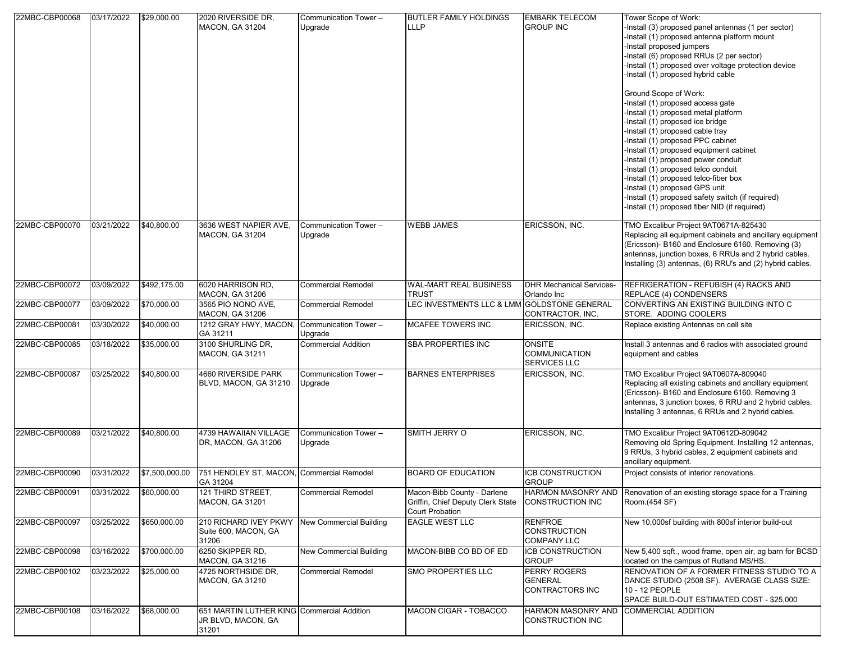| 22MBC-CBP00068 | 03/17/2022 | \$29,000.00    | 2020 RIVERSIDE DR,                                                        | Communication Tower -            | BUTLER FAMILY HOLDINGS                                                                     | <b>EMBARK TELECOM</b>                                        | Tower Scope of Work:                                                                                                                                                                                                                                                                                                                                                                                                                                                                                                                                                                                                                                                                                                                                    |
|----------------|------------|----------------|---------------------------------------------------------------------------|----------------------------------|--------------------------------------------------------------------------------------------|--------------------------------------------------------------|---------------------------------------------------------------------------------------------------------------------------------------------------------------------------------------------------------------------------------------------------------------------------------------------------------------------------------------------------------------------------------------------------------------------------------------------------------------------------------------------------------------------------------------------------------------------------------------------------------------------------------------------------------------------------------------------------------------------------------------------------------|
|                |            |                | <b>MACON, GA 31204</b>                                                    | Upgrade                          | LLLP                                                                                       | <b>GROUP INC</b>                                             | -Install (3) proposed panel antennas (1 per sector)<br>-Install (1) proposed antenna platform mount<br>-Install proposed jumpers<br>-Install (6) proposed RRUs (2 per sector)<br>-Install (1) proposed over voltage protection device<br>-Install (1) proposed hybrid cable<br>Ground Scope of Work:<br>-Install (1) proposed access gate<br>-Install (1) proposed metal platform<br>-Install (1) proposed ice bridge<br>-Install (1) proposed cable tray<br>-Install (1) proposed PPC cabinet<br>-Install (1) proposed equipment cabinet<br>-Install (1) proposed power conduit<br>-Install (1) proposed telco conduit<br>-Install (1) proposed telco-fiber box<br>-Install (1) proposed GPS unit<br>-Install (1) proposed safety switch (if required) |
|                |            |                |                                                                           |                                  |                                                                                            |                                                              | -Install (1) proposed fiber NID (if required)                                                                                                                                                                                                                                                                                                                                                                                                                                                                                                                                                                                                                                                                                                           |
| 22MBC-CBP00070 | 03/21/2022 | \$40,800.00    | 3636 WEST NAPIER AVE,<br><b>MACON, GA 31204</b>                           | Communication Tower -<br>Upgrade | <b>WEBB JAMES</b>                                                                          | ERICSSON, INC.                                               | TMO Excalibur Project 9AT0671A-825430<br>Replacing all equipment cabinets and ancillary equipment<br>(Ericsson)- B160 and Enclosure 6160. Removing (3)<br>antennas, junction boxes, 6 RRUs and 2 hybrid cables.<br>Installing (3) antennas, (6) RRU's and (2) hybrid cables.                                                                                                                                                                                                                                                                                                                                                                                                                                                                            |
| 22MBC-CBP00072 | 03/09/2022 | \$492,175.00   | 6020 HARRISON RD.<br><b>MACON, GA 31206</b>                               | <b>Commercial Remodel</b>        | WAL-MART REAL BUSINESS<br>TRUST                                                            | <b>DHR Mechanical Services-</b><br>Orlando Inc               | REFRIGERATION - REFUBISH (4) RACKS AND<br>REPLACE (4) CONDENSERS                                                                                                                                                                                                                                                                                                                                                                                                                                                                                                                                                                                                                                                                                        |
| 22MBC-CBP00077 | 03/09/2022 | \$70,000.00    | 3565 PIO NONO AVE,<br><b>MACON, GA 31206</b>                              | <b>Commercial Remodel</b>        | LEC INVESTMENTS LLC & LMM GOLDSTONE GENERAL                                                | CONTRACTOR, INC.                                             | CONVERTING AN EXISTING BUILDING INTO C<br>STORE. ADDING COOLERS                                                                                                                                                                                                                                                                                                                                                                                                                                                                                                                                                                                                                                                                                         |
| 22MBC-CBP00081 | 03/30/2022 | \$40,000.00    | 1212 GRAY HWY, MACON,<br>GA 31211                                         | Communication Tower -<br>Upgrade | MCAFEE TOWERS INC                                                                          | ERICSSON, INC.                                               | Replace existing Antennas on cell site                                                                                                                                                                                                                                                                                                                                                                                                                                                                                                                                                                                                                                                                                                                  |
| 22MBC-CBP00085 | 03/18/2022 | \$35,000.00    | 3100 SHURLING DR,<br><b>MACON, GA 31211</b>                               | <b>Commercial Addition</b>       | SBA PROPERTIES INC                                                                         | <b>ONSITE</b><br><b>COMMUNICATION</b><br><b>SERVICES LLC</b> | Install 3 antennas and 6 radios with associated ground<br>equipment and cables                                                                                                                                                                                                                                                                                                                                                                                                                                                                                                                                                                                                                                                                          |
| 22MBC-CBP00087 | 03/25/2022 | \$40,800.00    | 4660 RIVERSIDE PARK<br>BLVD, MACON, GA 31210                              | Communication Tower -<br>Upgrade | <b>BARNES ENTERPRISES</b>                                                                  | ERICSSON, INC.                                               | TMO Excalibur Project 9AT0607A-809040<br>Replacing all existing cabinets and ancillary equipment<br>(Ericsson)- B160 and Enclosure 6160. Removing 3<br>antennas, 3 junction boxes, 6 RRU and 2 hybrid cables.<br>Installing 3 antennas, 6 RRUs and 2 hybrid cables.                                                                                                                                                                                                                                                                                                                                                                                                                                                                                     |
| 22MBC-CBP00089 | 03/21/2022 | \$40,800.00    | 4739 HAWAIIAN VILLAGE<br>DR, MACON, GA 31206                              | Communication Tower -<br>Upgrade | SMITH JERRY O                                                                              | ERICSSON, INC.                                               | TMO Excalibur Project 9AT0612D-809042<br>Removing old Spring Equipment. Installing 12 antennas,<br>9 RRUs, 3 hybrid cables, 2 equipment cabinets and<br>ancillary equipment.                                                                                                                                                                                                                                                                                                                                                                                                                                                                                                                                                                            |
| 22MBC-CBP00090 | 03/31/2022 | \$7,500,000.00 | 751 HENDLEY ST, MACON, Commercial Remodel<br>GA 31204                     |                                  | <b>BOARD OF EDUCATION</b>                                                                  | <b>ICB CONSTRUCTION</b><br><b>GROUP</b>                      | Project consists of interior renovations.                                                                                                                                                                                                                                                                                                                                                                                                                                                                                                                                                                                                                                                                                                               |
| 22MBC-CBP00091 | 03/31/2022 | \$60,000.00    | 121 THIRD STREET,<br>MACON, GA 31201                                      | <b>Commercial Remodel</b>        | Macon-Bibb County - Darlene<br>Griffin, Chief Deputy Clerk State<br><b>Court Probation</b> | HARMON MASONRY AND<br>CONSTRUCTION INC                       | Renovation of an existing storage space for a Training<br>Room.(454 SF)                                                                                                                                                                                                                                                                                                                                                                                                                                                                                                                                                                                                                                                                                 |
| 22MBC-CBP00097 | 03/25/2022 | \$650,000.00   | 210 RICHARD IVEY PKWY<br>Suite 600, MACON, GA<br>31206                    | <b>New Commercial Building</b>   | EAGLE WEST LLC                                                                             | <b>RENFROE</b><br><b>CONSTRUCTION</b><br><b>COMPANY LLC</b>  | New 10,000sf building with 800sf interior build-out                                                                                                                                                                                                                                                                                                                                                                                                                                                                                                                                                                                                                                                                                                     |
| 22MBC-CBP00098 | 03/16/2022 | \$700,000.00   | 6250 SKIPPER RD,<br><b>MACON, GA 31216</b>                                | New Commercial Building          | MACON-BIBB CO BD OF ED                                                                     | ICB CONSTRUCTION<br><b>GROUP</b>                             | New 5,400 sqft., wood frame, open air, ag barn for BCSD<br>located on the campus of Rutland MS/HS.                                                                                                                                                                                                                                                                                                                                                                                                                                                                                                                                                                                                                                                      |
| 22MBC-CBP00102 | 03/23/2022 | \$25,000.00    | 4725 NORTHSIDE DR.<br>MACON, GA 31210                                     | <b>Commercial Remodel</b>        | SMO PROPERTIES LLC                                                                         | PERRY ROGERS<br><b>GENERAL</b><br><b>CONTRACTORS INC</b>     | RENOVATION OF A FORMER FITNESS STUDIO TO A<br>DANCE STUDIO (2508 SF). AVERAGE CLASS SIZE:<br>10 - 12 PEOPLE<br>SPACE BUILD-OUT ESTIMATED COST - \$25,000                                                                                                                                                                                                                                                                                                                                                                                                                                                                                                                                                                                                |
| 22MBC-CBP00108 | 03/16/2022 | \$68,000.00    | 651 MARTIN LUTHER KING Commercial Addition<br>JR BLVD, MACON, GA<br>31201 |                                  | MACON CIGAR - TOBACCO                                                                      | HARMON MASONRY AND<br>CONSTRUCTION INC                       | <b>COMMERCIAL ADDITION</b>                                                                                                                                                                                                                                                                                                                                                                                                                                                                                                                                                                                                                                                                                                                              |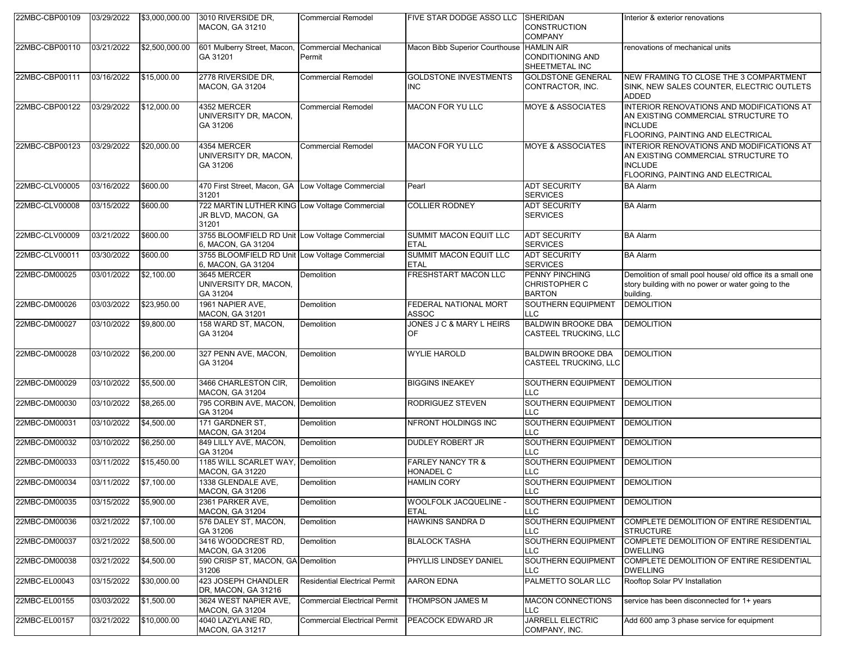| 22MBC-CBP00109 | 03/29/2022 | \$3,000,000.00 | 3010 RIVERSIDE DR,<br><b>MACON, GA 31210</b>                                 | <b>Commercial Remodel</b>              | FIVE STAR DODGE ASSO LLC                   | <b>SHERIDAN</b><br><b>CONSTRUCTION</b><br><b>COMPANY</b> | Interior & exterior renovations                                                                                                         |
|----------------|------------|----------------|------------------------------------------------------------------------------|----------------------------------------|--------------------------------------------|----------------------------------------------------------|-----------------------------------------------------------------------------------------------------------------------------------------|
| 22MBC-CBP00110 | 03/21/2022 | \$2,500,000.00 | 601 Mulberry Street, Macon,<br>GA 31201                                      | <b>Commercial Mechanical</b><br>Permit | Macon Bibb Superior Courthouse HAMLIN AIR  | <b>CONDITIONING AND</b><br>SHEETMETAL INC                | renovations of mechanical units                                                                                                         |
| 22MBC-CBP00111 | 03/16/2022 | \$15,000.00    | 2778 RIVERSIDE DR.<br><b>MACON, GA 31204</b>                                 | <b>Commercial Remodel</b>              | <b>GOLDSTONE INVESTMENTS</b><br><b>INC</b> | <b>GOLDSTONE GENERAL</b><br>CONTRACTOR, INC.             | NEW FRAMING TO CLOSE THE 3 COMPARTMENT<br>SINK, NEW SALES COUNTER, ELECTRIC OUTLETS<br><b>ADDED</b>                                     |
| 22MBC-CBP00122 | 03/29/2022 | \$12,000.00    | 4352 MERCER<br>UNIVERSITY DR, MACON,<br>GA 31206                             | <b>Commercial Remodel</b>              | <b>MACON FOR YU LLC</b>                    | <b>MOYE &amp; ASSOCIATES</b>                             | INTERIOR RENOVATIONS AND MODIFICATIONS AT<br>AN EXISTING COMMERCIAL STRUCTURE TO<br><b>INCLUDE</b><br>FLOORING, PAINTING AND ELECTRICAL |
| 22MBC-CBP00123 | 03/29/2022 | \$20,000.00    | 4354 MERCER<br>UNIVERSITY DR, MACON,<br>GA 31206                             | <b>Commercial Remodel</b>              | <b>MACON FOR YU LLC</b>                    | <b>MOYE &amp; ASSOCIATES</b>                             | INTERIOR RENOVATIONS AND MODIFICATIONS AT<br>AN EXISTING COMMERCIAL STRUCTURE TO<br><b>INCLUDE</b><br>FLOORING, PAINTING AND ELECTRICAL |
| 22MBC-CLV00005 | 03/16/2022 | \$600.00       | 470 First Street, Macon, GA Low Voltage Commercial<br>31201                  |                                        | Pearl                                      | <b>ADT SECURITY</b><br><b>SERVICES</b>                   | <b>BA Alarm</b>                                                                                                                         |
| 22MBC-CLV00008 | 03/15/2022 | \$600.00       | 722 MARTIN LUTHER KING Low Voltage Commercial<br>JR BLVD, MACON, GA<br>31201 |                                        | <b>COLLIER RODNEY</b>                      | <b>ADT SECURITY</b><br><b>SERVICES</b>                   | <b>BA Alarm</b>                                                                                                                         |
| 22MBC-CLV00009 | 03/21/2022 | \$600.00       | 3755 BLOOMFIELD RD Unit Low Voltage Commercial<br>6. MACON, GA 31204         |                                        | SUMMIT MACON EQUIT LLC<br><b>ETAL</b>      | <b>ADT SECURITY</b><br><b>SERVICES</b>                   | <b>BA Alarm</b>                                                                                                                         |
| 22MBC-CLV00011 | 03/30/2022 | \$600.00       | 3755 BLOOMFIELD RD Unit Low Voltage Commercial<br>6, MACON, GA 31204         |                                        | SUMMIT MACON EQUIT LLC<br><b>ETAL</b>      | <b>ADT SECURITY</b><br><b>SERVICES</b>                   | <b>BA Alarm</b>                                                                                                                         |
| 22MBC-DM00025  | 03/01/2022 | \$2,100.00     | 3645 MERCER<br>UNIVERSITY DR, MACON,<br>GA 31204                             | Demolition                             | <b>FRESHSTART MACON LLC</b>                | PENNY PINCHING<br><b>CHRISTOPHER C</b><br><b>BARTON</b>  | Demolition of small pool house/ old office its a small one<br>story building with no power or water going to the<br>building.           |
| 22MBC-DM00026  | 03/03/2022 | \$23,950.00    | 1961 NAPIER AVE,<br><b>MACON, GA 31201</b>                                   | Demolition                             | FEDERAL NATIONAL MORT<br>ASSOC             | <b>SOUTHERN EQUIPMENT</b><br>LLC.                        | <b>DEMOLITION</b>                                                                                                                       |
| 22MBC-DM00027  | 03/10/2022 | \$9,800.00     | 158 WARD ST, MACON,<br>GA 31204                                              | Demolition                             | JONES J C & MARY L HEIRS<br>OF             | <b>BALDWIN BROOKE DBA</b><br>CASTEEL TRUCKING, LLC       | <b>DEMOLITION</b>                                                                                                                       |
| 22MBC-DM00028  | 03/10/2022 | \$6,200.00     | 327 PENN AVE, MACON,<br>GA 31204                                             | Demolition                             | <b>WYLIE HAROLD</b>                        | <b>BALDWIN BROOKE DBA</b><br>CASTEEL TRUCKING, LLC       | <b>DEMOLITION</b>                                                                                                                       |
| 22MBC-DM00029  | 03/10/2022 | \$5,500.00     | 3466 CHARLESTON CIR,<br>MACON, GA 31204                                      | Demolition                             | <b>BIGGINS INEAKEY</b>                     | SOUTHERN EQUIPMENT<br><b>LLC</b>                         | <b>DEMOLITION</b>                                                                                                                       |
| 22MBC-DM00030  | 03/10/2022 | \$8,265.00     | 795 CORBIN AVE, MACON, Demolition<br>GA 31204                                |                                        | RODRIGUEZ STEVEN                           | SOUTHERN EQUIPMENT<br>LLC                                | <b>DEMOLITION</b>                                                                                                                       |
| 22MBC-DM00031  | 03/10/2022 | \$4,500.00     | 171 GARDNER ST,<br>MACON, GA 31204                                           | Demolition                             | NFRONT HOLDINGS INC                        | SOUTHERN EQUIPMENT<br>LLC                                | <b>DEMOLITION</b>                                                                                                                       |
| 22MBC-DM00032  | 03/10/2022 | \$6,250.00     | 849 LILLY AVE, MACON,<br>GA 31204                                            | Demolition                             | <b>DUDLEY ROBERT JR</b>                    | SOUTHERN EQUIPMENT<br>LLC                                | <b>DEMOLITION</b>                                                                                                                       |
| 22MBC-DM00033  | 03/11/2022 | \$15,450.00    | 1185 WILL SCARLET WAY,<br><b>MACON, GA 31220</b>                             | Demolition                             | <b>FARLEY NANCY TR &amp;</b><br>HONADEL C  | SOUTHERN EQUIPMENT<br>LLC.                               | <b>DEMOLITION</b>                                                                                                                       |
| 22MBC-DM00034  | 03/11/2022 | \$7,100.00     | 1338 GLENDALE AVE,<br>MACON, GA 31206                                        | Demolition                             | <b>HAMLIN CORY</b>                         | SOUTHERN EQUIPMENT<br>LLU                                | <b>DEMOLITION</b>                                                                                                                       |
| 22MBC-DM00035  | 03/15/2022 | \$5,900.00     | 2361 PARKER AVE,<br><b>MACON, GA 31204</b>                                   | Demolition                             | WOOLFOLK JACQUELINE -<br>ETAL              | SOUTHERN EQUIPMENT<br>LLC                                | <b>DEMOLITION</b>                                                                                                                       |
| 22MBC-DM00036  | 03/21/2022 | \$7,100.00     | 576 DALEY ST, MACON,<br>GA 31206                                             | Demolition                             | <b>HAWKINS SANDRA D</b>                    | <b>SOUTHERN EQUIPMENT</b><br>LLC.                        | COMPLETE DEMOLITION OF ENTIRE RESIDENTIAL<br><b>STRUCTURE</b>                                                                           |
| 22MBC-DM00037  | 03/21/2022 | \$8,500.00     | 3416 WOODCREST RD,<br><b>MACON, GA 31206</b>                                 | Demolition                             | <b>BLALOCK TASHA</b>                       | <b>SOUTHERN EQUIPMENT</b><br><b>LLC</b>                  | COMPLETE DEMOLITION OF ENTIRE RESIDENTIAL<br><b>DWELLING</b>                                                                            |
| 22MBC-DM00038  | 03/21/2022 | \$4,500.00     | 590 CRISP ST, MACON, GA Demolition<br>31206                                  |                                        | PHYLLIS LINDSEY DANIEL                     | <b>SOUTHERN EQUIPMENT</b><br><b>LLC</b>                  | COMPLETE DEMOLITION OF ENTIRE RESIDENTIAL<br><b>DWELLING</b>                                                                            |
| 22MBC-EL00043  | 03/15/2022 | \$30,000.00    | 423 JOSEPH CHANDLER<br>DR, MACON, GA 31216                                   | <b>Residential Electrical Permit</b>   | <b>AARON EDNA</b>                          | PALMETTO SOLAR LLC                                       | Rooftop Solar PV Installation                                                                                                           |
| 22MBC-EL00155  | 03/03/2022 | \$1,500.00     | 3624 WEST NAPIER AVE.<br>MACON, GA 31204                                     | <b>Commercial Electrical Permit</b>    | THOMPSON JAMES M                           | <b>MACON CONNECTIONS</b><br>LLC.                         | service has been disconnected for 1+ years                                                                                              |
| 22MBC-EL00157  | 03/21/2022 | \$10,000.00    | 4040 LAZYLANE RD,<br>MACON, GA 31217                                         | <b>Commercial Electrical Permit</b>    | PEACOCK EDWARD JR                          | <b>JARRELL ELECTRIC</b><br>COMPANY, INC.                 | Add 600 amp 3 phase service for equipment                                                                                               |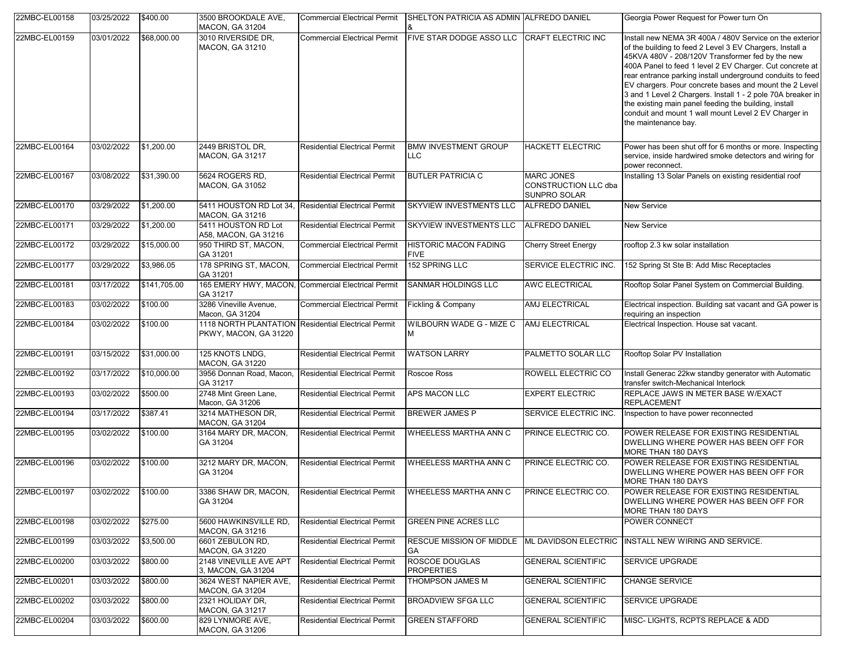| 22MBC-EL00158 | 03/25/2022 | \$400.00     | 3500 BROOKDALE AVE,<br><b>MACON, GA 31204</b>   | <b>Commercial Electrical Permit</b>                 | SHELTON PATRICIA AS ADMIN ALFREDO DANIEL                   |                                                                  | Georgia Power Request for Power turn On                                                                                                                                                                                                                                                                                                                                                                                                                                                                                                                            |
|---------------|------------|--------------|-------------------------------------------------|-----------------------------------------------------|------------------------------------------------------------|------------------------------------------------------------------|--------------------------------------------------------------------------------------------------------------------------------------------------------------------------------------------------------------------------------------------------------------------------------------------------------------------------------------------------------------------------------------------------------------------------------------------------------------------------------------------------------------------------------------------------------------------|
| 22MBC-EL00159 | 03/01/2022 | \$68,000.00  | 3010 RIVERSIDE DR,<br><b>MACON, GA 31210</b>    | <b>Commercial Electrical Permit</b>                 | FIVE STAR DODGE ASSO LLC CRAFT ELECTRIC INC                |                                                                  | nstall new NEMA 3R 400A / 480V Service on the exterior<br>of the building to feed 2 Level 3 EV Chargers, Install a<br>45KVA 480V - 208/120V Transformer fed by the new<br>400A Panel to feed 1 level 2 EV Charger. Cut concrete at<br>rear entrance parking install underground conduits to feed<br>EV chargers. Pour concrete bases and mount the 2 Level<br>3 and 1 Level 2 Chargers. Install 1 - 2 pole 70A breaker in<br>the existing main panel feeding the building, install<br>conduit and mount 1 wall mount Level 2 EV Charger in<br>the maintenance bay. |
| 22MBC-EL00164 | 03/02/2022 | \$1,200.00   | 2449 BRISTOL DR.<br><b>MACON, GA 31217</b>      | <b>Residential Electrical Permit</b>                | <b>BMW INVESTMENT GROUP</b><br>LLC.                        | <b>HACKETT ELECTRIC</b>                                          | Power has been shut off for 6 months or more. Inspecting<br>service, inside hardwired smoke detectors and wiring for<br>power reconnect.                                                                                                                                                                                                                                                                                                                                                                                                                           |
| 22MBC-EL00167 | 03/08/2022 | \$31,390.00  | 5624 ROGERS RD,<br><b>MACON, GA 31052</b>       | <b>Residential Electrical Permit</b>                | <b>BUTLER PATRICIA C</b>                                   | <b>MARC JONES</b><br><b>CONSTRUCTION LLC dba</b><br>SUNPRO SOLAR | Installing 13 Solar Panels on existing residential roof                                                                                                                                                                                                                                                                                                                                                                                                                                                                                                            |
| 22MBC-EL00170 | 03/29/2022 | \$1,200.00   | 5411 HOUSTON RD Lot 34.<br>MACON, GA 31216      | <b>Residential Electrical Permit</b>                | SKYVIEW INVESTMENTS LLC                                    | ALFREDO DANIEL                                                   | <b>New Service</b>                                                                                                                                                                                                                                                                                                                                                                                                                                                                                                                                                 |
| 22MBC-EL00171 | 03/29/2022 | \$1,200.00   | 5411 HOUSTON RD Lot<br>A58, MACON, GA 31216     | <b>Residential Electrical Permit</b>                | <b>SKYVIEW INVESTMENTS LLC</b>                             | <b>ALFREDO DANIEL</b>                                            | New Service                                                                                                                                                                                                                                                                                                                                                                                                                                                                                                                                                        |
| 22MBC-EL00172 | 03/29/2022 | \$15,000.00  | 950 THIRD ST, MACON,<br>GA 31201                | <b>Commercial Electrical Permit</b>                 | <b>HISTORIC MACON FADING</b><br><b>FIVE</b>                | <b>Cherry Street Energy</b>                                      | rooftop 2.3 kw solar installation                                                                                                                                                                                                                                                                                                                                                                                                                                                                                                                                  |
| 22MBC-EL00177 | 03/29/2022 | \$3,986.05   | 178 SPRING ST, MACON,<br>GA 31201               | <b>Commercial Electrical Permit</b>                 | 152 SPRING LLC                                             | SERVICE ELECTRIC INC.                                            | 152 Spring St Ste B: Add Misc Receptacles                                                                                                                                                                                                                                                                                                                                                                                                                                                                                                                          |
| 22MBC-EL00181 | 03/17/2022 | \$141,705.00 | 165 EMERY HWY, MACON,<br>GA 31217               | <b>Commercial Electrical Permit</b>                 | SANMAR HOLDINGS LLC                                        | <b>AWC ELECTRICAL</b>                                            | Rooftop Solar Panel System on Commercial Building.                                                                                                                                                                                                                                                                                                                                                                                                                                                                                                                 |
| 22MBC-EL00183 | 03/02/2022 | \$100.00     | 3286 Vineville Avenue,<br>Macon, GA 31204       | <b>Commercial Electrical Permit</b>                 | Fickling & Company                                         | AMJ ELECTRICAL                                                   | Electrical inspection. Building sat vacant and GA power is<br>requiring an inspection                                                                                                                                                                                                                                                                                                                                                                                                                                                                              |
| 22MBC-EL00184 | 03/02/2022 | \$100.00     | PKWY, MACON, GA 31220                           | 1118 NORTH PLANTATION Residential Electrical Permit | WILBOURN WADE G - MIZE C                                   | AMJ ELECTRICAL                                                   | Electrical Inspection. House sat vacant.                                                                                                                                                                                                                                                                                                                                                                                                                                                                                                                           |
| 22MBC-EL00191 | 03/15/2022 | \$31,000.00  | 125 KNOTS LNDG,<br>MACON, GA 31220              | <b>Residential Electrical Permit</b>                | <b>WATSON LARRY</b>                                        | PALMETTO SOLAR LLC                                               | Rooftop Solar PV Installation                                                                                                                                                                                                                                                                                                                                                                                                                                                                                                                                      |
| 22MBC-EL00192 | 03/17/2022 | \$10,000.00  | 3956 Donnan Road, Macon,<br>GA 31217            | <b>Residential Electrical Permit</b>                | Roscoe Ross                                                | ROWELL ELECTRIC CO                                               | Install Generac 22kw standby generator with Automatic<br>transfer switch-Mechanical Interlock                                                                                                                                                                                                                                                                                                                                                                                                                                                                      |
| 22MBC-EL00193 | 03/02/2022 | \$500.00     | 2748 Mint Green Lane,<br>Macon, GA 31206        | <b>Residential Electrical Permit</b>                | <b>APS MACON LLC</b>                                       | <b>EXPERT ELECTRIC</b>                                           | REPLACE JAWS IN METER BASE W/EXACT<br><b>REPLACEMENT</b>                                                                                                                                                                                                                                                                                                                                                                                                                                                                                                           |
| 22MBC-EL00194 | 03/17/2022 | \$387.41     | 3214 MATHESON DR,<br>MACON, GA 31204            | <b>Residential Electrical Permit</b>                | <b>BREWER JAMES P</b>                                      | SERVICE ELECTRIC INC.                                            | Inspection to have power reconnected                                                                                                                                                                                                                                                                                                                                                                                                                                                                                                                               |
| 22MBC-EL00195 | 03/02/2022 | \$100.00     | 3164 MARY DR, MACON,<br>GA 31204                | <b>Residential Electrical Permit</b>                | WHEELESS MARTHA ANN C                                      | PRINCE ELECTRIC CO.                                              | POWER RELEASE FOR EXISTING RESIDENTIAL<br>DWELLING WHERE POWER HAS BEEN OFF FOR<br>MORE THAN 180 DAYS                                                                                                                                                                                                                                                                                                                                                                                                                                                              |
| 22MBC-EL00196 | 03/02/2022 | \$100.00     | 3212 MARY DR, MACON,<br>GA 31204                | <b>Residential Electrical Permit</b>                | <b>WHEELESS MARTHA ANN C</b>                               | PRINCE ELECTRIC CO.                                              | POWER RELEASE FOR EXISTING RESIDENTIAL<br>DWELLING WHERE POWER HAS BEEN OFF FOR<br>MORE THAN 180 DAYS                                                                                                                                                                                                                                                                                                                                                                                                                                                              |
| 22MBC-EL00197 | 03/02/2022 | \$100.00     | 3386 SHAW DR, MACON,<br>GA 31204                | <b>Residential Electrical Permit</b>                | <b>WHEELESS MARTHA ANN C</b>                               | PRINCE ELECTRIC CO.                                              | POWER RELEASE FOR EXISTING RESIDENTIAL<br>DWELLING WHERE POWER HAS BEEN OFF FOR<br>MORE THAN 180 DAYS                                                                                                                                                                                                                                                                                                                                                                                                                                                              |
| 22MBC-EL00198 | 03/02/2022 | \$275.00     | 5600 HAWKINSVILLE RD,<br><b>MACON, GA 31216</b> | <b>Residential Electrical Permit</b>                | <b>GREEN PINE ACRES LLC</b>                                |                                                                  | POWER CONNECT                                                                                                                                                                                                                                                                                                                                                                                                                                                                                                                                                      |
| 22MBC-EL00199 | 03/03/2022 | \$3,500.00   | 6601 ZEBULON RD,<br><b>MACON, GA 31220</b>      | <b>Residential Electrical Permit</b>                | RESCUE MISSION OF MIDDLE ML DAVIDSON ELECTRIC<br><b>GA</b> |                                                                  | <b>INSTALL NEW WIRING AND SERVICE.</b>                                                                                                                                                                                                                                                                                                                                                                                                                                                                                                                             |
| 22MBC-EL00200 | 03/03/2022 | \$800.00     | 2148 VINEVILLE AVE APT<br>3, MACON, GA 31204    | <b>Residential Electrical Permit</b>                | <b>ROSCOE DOUGLAS</b><br><b>PROPERTIES</b>                 | <b>GENERAL SCIENTIFIC</b>                                        | SERVICE UPGRADE                                                                                                                                                                                                                                                                                                                                                                                                                                                                                                                                                    |
| 22MBC-EL00201 | 03/03/2022 | \$800.00     | 3624 WEST NAPIER AVE,<br><b>MACON, GA 31204</b> | <b>Residential Electrical Permit</b>                | THOMPSON JAMES M                                           | <b>GENERAL SCIENTIFIC</b>                                        | <b>CHANGE SERVICE</b>                                                                                                                                                                                                                                                                                                                                                                                                                                                                                                                                              |
| 22MBC-EL00202 | 03/03/2022 | \$800.00     | 2321 HOLIDAY DR,<br><b>MACON, GA 31217</b>      | <b>Residential Electrical Permit</b>                | <b>BROADVIEW SFGA LLC</b>                                  | <b>GENERAL SCIENTIFIC</b>                                        | <b>SERVICE UPGRADE</b>                                                                                                                                                                                                                                                                                                                                                                                                                                                                                                                                             |
| 22MBC-EL00204 | 03/03/2022 | \$600.00     | 829 LYNMORE AVE,<br><b>MACON, GA 31206</b>      | <b>Residential Electrical Permit</b>                | <b>GREEN STAFFORD</b>                                      | <b>GENERAL SCIENTIFIC</b>                                        | MISC-LIGHTS, RCPTS REPLACE & ADD                                                                                                                                                                                                                                                                                                                                                                                                                                                                                                                                   |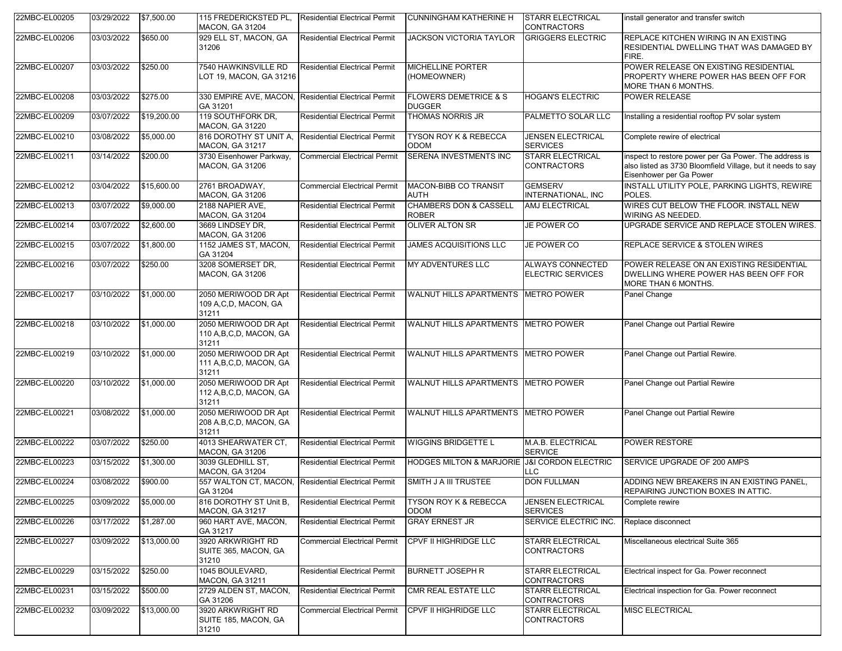| 22MBC-EL00205 | 03/29/2022 | \$7,500.00  | 115 FREDERICKSTED PL.<br><b>MACON, GA 31204</b>                  | <b>Residential Electrical Permit</b> | <b>CUNNINGHAM KATHERINE H</b>                     | <b>STARR ELECTRICAL</b><br><b>CONTRACTORS</b> | install generator and transfer switch                                                                                                           |
|---------------|------------|-------------|------------------------------------------------------------------|--------------------------------------|---------------------------------------------------|-----------------------------------------------|-------------------------------------------------------------------------------------------------------------------------------------------------|
| 22MBC-EL00206 | 03/03/2022 | \$650.00    | 929 ELL ST, MACON, GA<br>31206                                   | <b>Residential Electrical Permit</b> | <b>JACKSON VICTORIA TAYLOR</b>                    | <b>GRIGGERS ELECTRIC</b>                      | REPLACE KITCHEN WIRING IN AN EXISTING<br>RESIDENTIAL DWELLING THAT WAS DAMAGED BY<br>FIRE.                                                      |
| 22MBC-EL00207 | 03/03/2022 | \$250.00    | 7540 HAWKINSVILLE RD<br>LOT 19, MACON, GA 31216                  | <b>Residential Electrical Permit</b> | <b>MICHELLINE PORTER</b><br>(HOMEOWNER)           |                                               | POWER RELEASE ON EXISTING RESIDENTIAL<br>PROPERTY WHERE POWER HAS BEEN OFF FOR<br>MORE THAN 6 MONTHS.                                           |
| 22MBC-EL00208 | 03/03/2022 | \$275.00    | 330 EMPIRE AVE, MACON, Residential Electrical Permit<br>GA 31201 |                                      | <b>FLOWERS DEMETRICE &amp; S</b><br><b>DUGGER</b> | <b>HOGAN'S ELECTRIC</b>                       | <b>POWER RELEASE</b>                                                                                                                            |
| 22MBC-EL00209 | 03/07/2022 | \$19,200.00 | 119 SOUTHFORK DR.<br><b>MACON, GA 31220</b>                      | <b>Residential Electrical Permit</b> | <b>THOMAS NORRIS JR</b>                           | PALMETTO SOLAR LLC                            | Installing a residential rooftop PV solar system                                                                                                |
| 22MBC-EL00210 | 03/08/2022 | \$5,000.00  | 816 DOROTHY ST UNIT A,<br>MACON, GA 31217                        | <b>Residential Electrical Permit</b> | <b>TYSON ROY K &amp; REBECCA</b><br><b>ODOM</b>   | <b>JENSEN ELECTRICAL</b><br><b>SERVICES</b>   | Complete rewire of electrical                                                                                                                   |
| 22MBC-EL00211 | 03/14/2022 | \$200.00    | 3730 Eisenhower Parkway,<br><b>MACON, GA 31206</b>               | <b>Commercial Electrical Permit</b>  | SERENA INVESTMENTS INC                            | <b>STARR ELECTRICAL</b><br><b>CONTRACTORS</b> | inspect to restore power per Ga Power. The address is<br>also listed as 3730 Bloomfield Village, but it needs to say<br>Eisenhower per Ga Power |
| 22MBC-EL00212 | 03/04/2022 | \$15,600.00 | 2761 BROADWAY,<br><b>MACON, GA 31206</b>                         | <b>Commercial Electrical Permit</b>  | <b>MACON-BIBB CO TRANSIT</b><br><b>AUTH</b>       | <b>GEMSERV</b><br>INTERNATIONAL, INC          | INSTALL UTILITY POLE, PARKING LIGHTS, REWIRE<br>POLES.                                                                                          |
| 22MBC-EL00213 | 03/07/2022 | \$9,000.00  | 2188 NAPIER AVE,<br><b>MACON, GA 31204</b>                       | <b>Residential Electrical Permit</b> | <b>CHAMBERS DON &amp; CASSELL</b><br><b>ROBER</b> | AMJ ELECTRICAL                                | WIRES CUT BELOW THE FLOOR. INSTALL NEW<br>WIRING AS NEEDED.                                                                                     |
| 22MBC-EL00214 | 03/07/2022 | \$2,600.00  | 3669 LINDSEY DR.<br>MACON, GA 31206                              | <b>Residential Electrical Permit</b> | <b>OLIVER ALTON SR</b>                            | JE POWER CO                                   | UPGRADE SERVICE AND REPLACE STOLEN WIRES.                                                                                                       |
| 22MBC-EL00215 | 03/07/2022 | \$1,800.00  | 1152 JAMES ST, MACON,<br>GA 31204                                | <b>Residential Electrical Permit</b> | <b>JAMES ACQUISITIONS LLC</b>                     | JE POWER CO                                   | REPLACE SERVICE & STOLEN WIRES                                                                                                                  |
| 22MBC-EL00216 | 03/07/2022 | \$250.00    | 3208 SOMERSET DR.<br><b>MACON, GA 31206</b>                      | <b>Residential Electrical Permit</b> | <b>MY ADVENTURES LLC</b>                          | ALWAYS CONNECTED<br><b>ELECTRIC SERVICES</b>  | POWER RELEASE ON AN EXISTING RESIDENTIAL<br>DWELLING WHERE POWER HAS BEEN OFF FOR<br>MORE THAN 6 MONTHS.                                        |
| 22MBC-EL00217 | 03/10/2022 | \$1,000.00  | 2050 MERIWOOD DR Apt<br>109 A,C,D, MACON, GA<br>31211            | <b>Residential Electrical Permit</b> | WALNUT HILLS APARTMENTS METRO POWER               |                                               | Panel Change                                                                                                                                    |
| 22MBC-EL00218 | 03/10/2022 | \$1,000.00  | 2050 MERIWOOD DR Apt<br>110 A, B, C, D, MACON, GA<br>31211       | <b>Residential Electrical Permit</b> | WALNUT HILLS APARTMENTS METRO POWER               |                                               | Panel Change out Partial Rewire                                                                                                                 |
| 22MBC-EL00219 | 03/10/2022 | \$1,000.00  | 2050 MERIWOOD DR Apt<br>111 A, B, C, D, MACON, GA<br>31211       | <b>Residential Electrical Permit</b> | WALNUT HILLS APARTMENTS   METRO POWER             |                                               | Panel Change out Partial Rewire.                                                                                                                |
| 22MBC-EL00220 | 03/10/2022 | \$1,000.00  | 2050 MERIWOOD DR Apt<br>112 A, B, C, D, MACON, GA<br>31211       | <b>Residential Electrical Permit</b> | WALNUT HILLS APARTMENTS METRO POWER               |                                               | Panel Change out Partial Rewire                                                                                                                 |
| 22MBC-EL00221 | 03/08/2022 | \$1,000.00  | 2050 MERIWOOD DR Apt<br>208 A.B,C,D, MACON, GA<br>31211          | <b>Residential Electrical Permit</b> | WALNUT HILLS APARTMENTS METRO POWER               |                                               | Panel Change out Partial Rewire                                                                                                                 |
| 22MBC-EL00222 | 03/07/2022 | \$250.00    | 4013 SHEARWATER CT.<br><b>MACON, GA 31206</b>                    | <b>Residential Electrical Permit</b> | <b>WIGGINS BRIDGETTE L</b>                        | M.A.B. ELECTRICAL<br><b>SERVICE</b>           | POWER RESTORE                                                                                                                                   |
| 22MBC-EL00223 | 03/15/2022 | \$1,300.00  | 3039 GLEDHILL ST,<br><b>MACON, GA 31204</b>                      | <b>Residential Electrical Permit</b> | <b>HODGES MILTON &amp; MARJORIE</b>               | <b>J&amp;I CORDON ELECTRIC</b><br>LLC         | SERVICE UPGRADE OF 200 AMPS                                                                                                                     |
| 22MBC-EL00224 | 03/08/2022 | \$900.00    | 557 WALTON CT, MACON, Residential Electrical Permit<br>GA 31204  |                                      | SMITH J A III TRUSTEE                             | <b>DON FULLMAN</b>                            | ADDING NEW BREAKERS IN AN EXISTING PANEL,<br> REPAIRING JUNCTION BOXES IN ATTIC.                                                                |
| 22MBC-EL00225 | 03/09/2022 | \$5,000.00  | 816 DOROTHY ST Unit B,<br><b>MACON, GA 31217</b>                 | <b>Residential Electrical Permit</b> | <b>TYSON ROY K &amp; REBECCA</b><br>ODOM          | <b>JENSEN ELECTRICAL</b><br><b>SERVICES</b>   | Complete rewire                                                                                                                                 |
| 22MBC-EL00226 | 03/17/2022 | \$1,287.00  | 960 HART AVE, MACON,<br>GA 31217                                 | <b>Residential Electrical Permit</b> | <b>GRAY ERNEST JR</b>                             | SERVICE ELECTRIC INC.                         | Replace disconnect                                                                                                                              |
| 22MBC-EL00227 | 03/09/2022 | \$13,000.00 | 3920 ARKWRIGHT RD<br>SUITE 365, MACON, GA<br>31210               | <b>Commercial Electrical Permit</b>  | <b>CPVF II HIGHRIDGE LLC</b>                      | <b>STARR ELECTRICAL</b><br><b>CONTRACTORS</b> | Miscellaneous electrical Suite 365                                                                                                              |
| 22MBC-EL00229 | 03/15/2022 | \$250.00    | 1045 BOULEVARD,<br><b>MACON, GA 31211</b>                        | <b>Residential Electrical Permit</b> | <b>BURNETT JOSEPH R</b>                           | <b>STARR ELECTRICAL</b><br><b>CONTRACTORS</b> | Electrical inspect for Ga. Power reconnect                                                                                                      |
| 22MBC-EL00231 | 03/15/2022 | \$500.00    | 2729 ALDEN ST, MACON,<br>GA 31206                                | <b>Residential Electrical Permit</b> | CMR REAL ESTATE LLC                               | <b>STARR ELECTRICAL</b><br><b>CONTRACTORS</b> | Electrical inspection for Ga. Power reconnect                                                                                                   |
| 22MBC-EL00232 | 03/09/2022 | \$13,000.00 | 3920 ARKWRIGHT RD<br>SUITE 185, MACON, GA<br>31210               | <b>Commercial Electrical Permit</b>  | <b>CPVF II HIGHRIDGE LLC</b>                      | <b>STARR ELECTRICAL</b><br><b>CONTRACTORS</b> | <b>MISC ELECTRICAL</b>                                                                                                                          |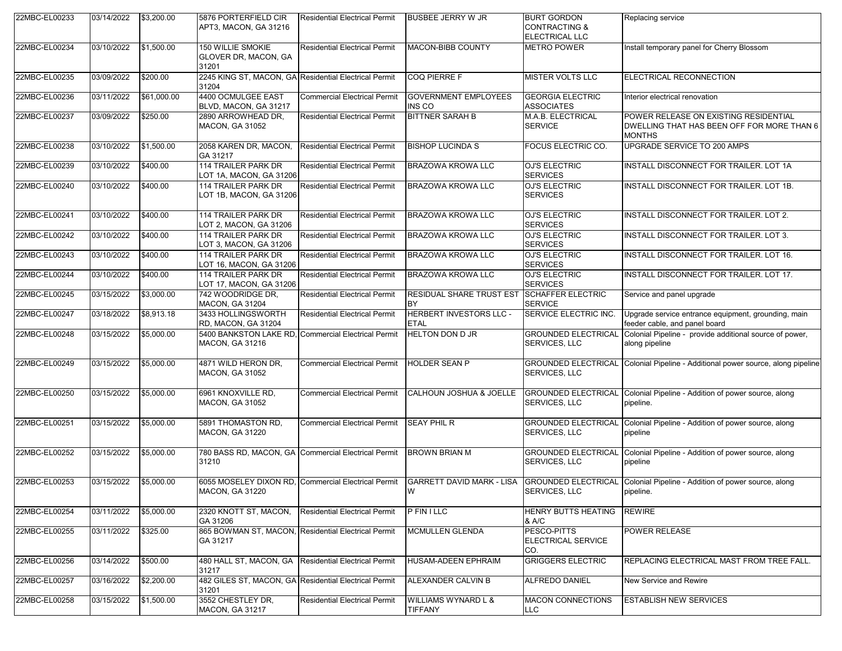| 22MBC-EL00233 | 03/14/2022 | \$3,200.00  | 5876 PORTERFIELD CIR<br>APT3, MACON, GA 31216      | <b>Residential Electrical Permit</b>                  | <b>BUSBEE JERRY W JR</b>                  | <b>BURT GORDON</b><br><b>CONTRACTING &amp;</b><br>ELECTRICAL LLC | Replacing service                                                                                    |
|---------------|------------|-------------|----------------------------------------------------|-------------------------------------------------------|-------------------------------------------|------------------------------------------------------------------|------------------------------------------------------------------------------------------------------|
| 22MBC-EL00234 | 03/10/2022 | \$1,500.00  | 150 WILLIE SMOKIE<br>GLOVER DR, MACON, GA<br>31201 | <b>Residential Electrical Permit</b>                  | MACON-BIBB COUNTY                         | <b>METRO POWER</b>                                               | Install temporary panel for Cherry Blossom                                                           |
| 22MBC-EL00235 | 03/09/2022 | \$200.00    | 31204                                              | 2245 KING ST, MACON, GA Residential Electrical Permit | COQ PIERRE F                              | <b>MISTER VOLTS LLC</b>                                          | ELECTRICAL RECONNECTION                                                                              |
| 22MBC-EL00236 | 03/11/2022 | \$61,000.00 | 4400 OCMULGEE EAST<br>BLVD, MACON, GA 31217        | <b>Commercial Electrical Permit</b>                   | <b>GOVERNMENT EMPLOYEES</b><br>INS CO     | <b>GEORGIA ELECTRIC</b><br><b>ASSOCIATES</b>                     | Interior electrical renovation                                                                       |
| 22MBC-EL00237 | 03/09/2022 | \$250.00    | 2890 ARROWHEAD DR.<br><b>MACON, GA 31052</b>       | <b>Residential Electrical Permit</b>                  | <b>BITTNER SARAH B</b>                    | M.A.B. ELECTRICAL<br><b>SERVICE</b>                              | POWER RELEASE ON EXISTING RESIDENTIAL<br>DWELLING THAT HAS BEEN OFF FOR MORE THAN 6<br><b>MONTHS</b> |
| 22MBC-EL00238 | 03/10/2022 | \$1,500.00  | 2058 KAREN DR. MACON.<br>GA 31217                  | <b>Residential Electrical Permit</b>                  | <b>BISHOP LUCINDA S</b>                   | FOCUS ELECTRIC CO.                                               | UPGRADE SERVICE TO 200 AMPS                                                                          |
| 22MBC-EL00239 | 03/10/2022 | \$400.00    | 114 TRAILER PARK DR<br>LOT 1A, MACON, GA 31206     | <b>Residential Electrical Permit</b>                  | <b>BRAZOWA KROWA LLC</b>                  | <b>OJ'S ELECTRIC</b><br><b>SERVICES</b>                          | INSTALL DISCONNECT FOR TRAILER. LOT 1A                                                               |
| 22MBC-EL00240 | 03/10/2022 | \$400.00    | 114 TRAILER PARK DR<br>LOT 1B, MACON, GA 31206     | <b>Residential Electrical Permit</b>                  | BRAZOWA KROWA LLC                         | OJ'S ELECTRIC<br><b>SERVICES</b>                                 | INSTALL DISCONNECT FOR TRAILER. LOT 1B.                                                              |
| 22MBC-EL00241 | 03/10/2022 | \$400.00    | 114 TRAILER PARK DR<br>LOT 2, MACON, GA 31206      | <b>Residential Electrical Permit</b>                  | BRAZOWA KROWA LLC                         | <b>OJ'S ELECTRIC</b><br><b>SERVICES</b>                          | INSTALL DISCONNECT FOR TRAILER. LOT 2.                                                               |
| 22MBC-EL00242 | 03/10/2022 | \$400.00    | 114 TRAILER PARK DR<br>LOT 3, MACON, GA 31206      | <b>Residential Electrical Permit</b>                  | BRAZOWA KROWA LLC                         | <b>OJ'S ELECTRIC</b><br><b>SERVICES</b>                          | INSTALL DISCONNECT FOR TRAILER. LOT 3.                                                               |
| 22MBC-EL00243 | 03/10/2022 | \$400.00    | 114 TRAILER PARK DR<br>LOT 16, MACON, GA 31206     | <b>Residential Electrical Permit</b>                  | <b>BRAZOWA KROWA LLC</b>                  | <b>OJ'S ELECTRIC</b><br><b>SERVICES</b>                          | <b>INSTALL DISCONNECT FOR TRAILER, LOT 16.</b>                                                       |
| 22MBC-EL00244 | 03/10/2022 | \$400.00    | 114 TRAILER PARK DR<br>LOT 17, MACON, GA 31206     | <b>Residential Electrical Permit</b>                  | <b>BRAZOWA KROWA LLC</b>                  | <b>OJ'S ELECTRIC</b><br><b>SERVICES</b>                          | INSTALL DISCONNECT FOR TRAILER. LOT 17.                                                              |
| 22MBC-EL00245 | 03/15/2022 | \$3,000.00  | 742 WOODRIDGE DR.<br><b>MACON, GA 31204</b>        | Residential Electrical Permit                         | RESIDUAL SHARE TRUST EST<br>BY            | <b>SCHAFFER ELECTRIC</b><br><b>SERVICE</b>                       | Service and panel upgrade                                                                            |
| 22MBC-EL00247 | 03/18/2022 | \$8,913.18  | 3433 HOLLINGSWORTH<br>RD, MACON, GA 31204          | <b>Residential Electrical Permit</b>                  | HERBERT INVESTORS LLC -<br><b>ETAL</b>    | <b>SERVICE ELECTRIC INC.</b>                                     | Upgrade service entrance equipment, grounding, main<br>feeder cable, and panel board                 |
| 22MBC-EL00248 | 03/15/2022 | \$5,000.00  | <b>MACON, GA 31216</b>                             | 5400 BANKSTON LAKE RD, Commercial Electrical Permit   | HELTON DON D JR                           | <b>GROUNDED ELECTRICAL</b><br>SERVICES, LLC                      | Colonial Pipeline - provide additional source of power,<br>along pipeline                            |
| 22MBC-EL00249 | 03/15/2022 | \$5,000.00  | 4871 WILD HERON DR,<br><b>MACON, GA 31052</b>      | <b>Commercial Electrical Permit</b>                   | <b>HOLDER SEAN P</b>                      | SERVICES, LLC                                                    | GROUNDED ELECTRICAL Colonial Pipeline - Additional power source, along pipeline                      |
| 22MBC-EL00250 | 03/15/2022 | \$5,000.00  | 6961 KNOXVILLE RD,<br><b>MACON, GA 31052</b>       | <b>Commercial Electrical Permit</b>                   | CALHOUN JOSHUA & JOELLE                   | <b>GROUNDED ELECTRICAL</b><br>SERVICES, LLC                      | Colonial Pipeline - Addition of power source, along<br>pipeline.                                     |
| 22MBC-EL00251 | 03/15/2022 | \$5,000.00  | 5891 THOMASTON RD,<br><b>MACON, GA 31220</b>       | <b>Commercial Electrical Permit</b>                   | <b>SEAY PHIL R</b>                        | <b>GROUNDED ELECTRICAL</b><br>SERVICES, LLC                      | Colonial Pipeline - Addition of power source, along<br>pipeline                                      |
| 22MBC-EL00252 | 03/15/2022 | \$5,000.00  | 31210                                              | 780 BASS RD, MACON, GA Commercial Electrical Permit   | <b>BROWN BRIAN M</b>                      | <b>GROUNDED ELECTRICAL</b><br>SERVICES, LLC                      | Colonial Pipeline - Addition of power source, along<br>pipeline                                      |
| 22MBC-EL00253 | 03/15/2022 | \$5,000.00  | MACON, GA 31220                                    | 6055 MOSELEY DIXON RD, Commercial Electrical Permit   | <b>GARRETT DAVID MARK - LISA</b>          | <b>GROUNDED ELECTRICAL</b><br>SERVICES, LLC                      | Colonial Pipeline - Addition of power source, along<br>pipeline.                                     |
| 22MBC-EL00254 | 03/11/2022 | \$5,000.00  | 2320 KNOTT ST, MACON,<br>GA 31206                  | <b>Residential Electrical Permit</b>                  | <b>PFINILLC</b>                           | HENRY BUTTS HEATING<br>& A/C                                     | <b>REWIRE</b>                                                                                        |
| 22MBC-EL00255 | 03/11/2022 | \$325.00    | GA 31217                                           | 865 BOWMAN ST, MACON, Residential Electrical Permit   | MCMULLEN GLENDA                           | PESCO-PITTS<br>ELECTRICAL SERVICE<br>CO.                         | POWER RELEASE                                                                                        |
| 22MBC-EL00256 | 03/14/2022 | \$500.00    | 31217                                              | 480 HALL ST, MACON, GA Residential Electrical Permit  | HUSAM-ADEEN EPHRAIM                       | <b>GRIGGERS ELECTRIC</b>                                         | REPLACING ELECTRICAL MAST FROM TREE FALL.                                                            |
| 22MBC-EL00257 | 03/16/2022 | \$2,200.00  | 31201                                              | 482 GILES ST, MACON, GA Residential Electrical Permit | ALEXANDER CALVIN B                        | ALFREDO DANIEL                                                   | New Service and Rewire                                                                               |
| 22MBC-EL00258 | 03/15/2022 | \$1,500.00  | 3552 CHESTLEY DR,<br><b>MACON, GA 31217</b>        | <b>Residential Electrical Permit</b>                  | <b>WILLIAMS WYNARD L &amp;</b><br>TIFFANY | <b>MACON CONNECTIONS</b><br>LLC.                                 | <b>ESTABLISH NEW SERVICES</b>                                                                        |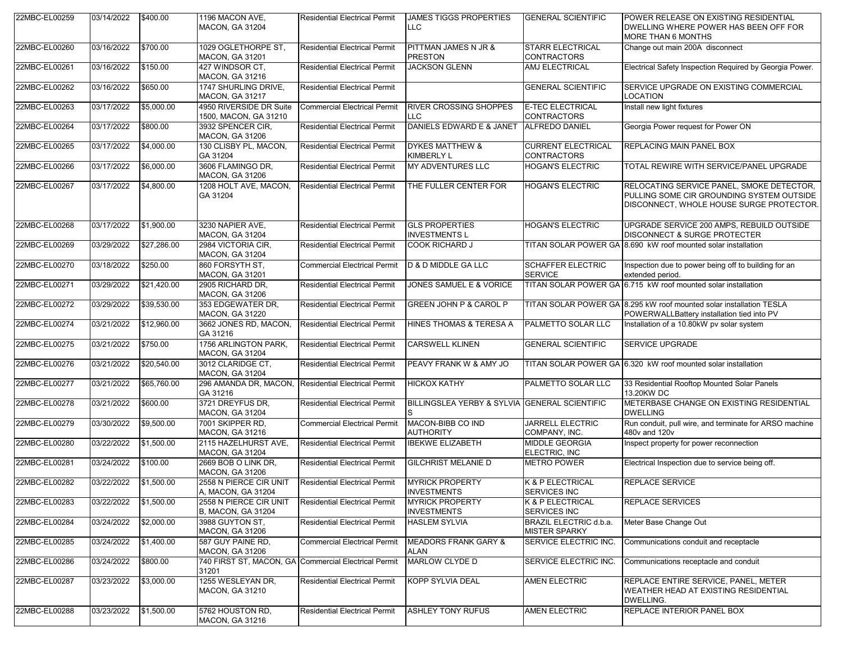| 22MBC-EL00259 | 03/14/2022 | \$400.00    | 1196 MACON AVE,<br><b>MACON, GA 31204</b>                       | <b>Residential Electrical Permit</b>                 | JAMES TIGGS PROPERTIES<br>LLC                 | <b>GENERAL SCIENTIFIC</b>                       | POWER RELEASE ON EXISTING RESIDENTIAL<br>DWELLING WHERE POWER HAS BEEN OFF FOR<br><b>MORE THAN 6 MONTHS</b>                        |
|---------------|------------|-------------|-----------------------------------------------------------------|------------------------------------------------------|-----------------------------------------------|-------------------------------------------------|------------------------------------------------------------------------------------------------------------------------------------|
| 22MBC-EL00260 | 03/16/2022 | \$700.00    | 1029 OGLETHORPE ST.<br>MACON, GA 31201                          | <b>Residential Electrical Permit</b>                 | PITTMAN JAMES N JR &<br><b>PRESTON</b>        | <b>STARR ELECTRICAL</b><br><b>CONTRACTORS</b>   | Change out main 200A disconnect                                                                                                    |
| 22MBC-EL00261 | 03/16/2022 | \$150.00    | 427 WINDSOR CT,<br><b>MACON, GA 31216</b>                       | <b>Residential Electrical Permit</b>                 | <b>JACKSON GLENN</b>                          | AMJ ELECTRICAL                                  | Electrical Safety Inspection Required by Georgia Power.                                                                            |
| 22MBC-EL00262 | 03/16/2022 | \$650.00    | 1747 SHURLING DRIVE,<br><b>MACON, GA 31217</b>                  | <b>Residential Electrical Permit</b>                 |                                               | <b>GENERAL SCIENTIFIC</b>                       | SERVICE UPGRADE ON EXISTING COMMERCIAL<br>LOCATION                                                                                 |
| 22MBC-EL00263 | 03/17/2022 | \$5,000.00  | 4950 RIVERSIDE DR Suite<br>1500, MACON, GA 31210                | <b>Commercial Electrical Permit</b>                  | <b>RIVER CROSSING SHOPPES</b><br>LLC          | <b>E-TEC ELECTRICAL</b><br><b>CONTRACTORS</b>   | Install new light fixtures                                                                                                         |
| 22MBC-EL00264 | 03/17/2022 | \$800.00    | 3932 SPENCER CIR,<br><b>MACON, GA 31206</b>                     | <b>Residential Electrical Permit</b>                 | DANIELS EDWARD E & JANET ALFREDO DANIEL       |                                                 | Georgia Power request for Power ON                                                                                                 |
| 22MBC-EL00265 | 03/17/2022 | \$4,000.00  | 130 CLISBY PL, MACON,<br>GA 31204                               | <b>Residential Electrical Permit</b>                 | <b>DYKES MATTHEW &amp;</b><br>KIMBERLY L      | <b>CURRENT ELECTRICAL</b><br><b>CONTRACTORS</b> | REPLACING MAIN PANEL BOX                                                                                                           |
| 22MBC-EL00266 | 03/17/2022 | \$6,000.00  | 3606 FLAMINGO DR.<br><b>MACON, GA 31206</b>                     | <b>Residential Electrical Permit</b>                 | <b>MY ADVENTURES LLC</b>                      | <b>HOGAN'S ELECTRIC</b>                         | TOTAL REWIRE WITH SERVICE/PANEL UPGRADE                                                                                            |
| 22MBC-EL00267 | 03/17/2022 | \$4,800.00  | 1208 HOLT AVE, MACON,<br>GA 31204                               | <b>Residential Electrical Permit</b>                 | THE FULLER CENTER FOR                         | <b>HOGAN'S ELECTRIC</b>                         | RELOCATING SERVICE PANEL, SMOKE DETECTOR,<br>PULLING SOME CIR GROUNDING SYSTEM OUTSIDE<br>DISCONNECT, WHOLE HOUSE SURGE PROTECTOR. |
| 22MBC-EL00268 | 03/17/2022 | \$1,900.00  | 3230 NAPIER AVE,<br><b>MACON, GA 31204</b>                      | <b>Residential Electrical Permit</b>                 | <b>GLS PROPERTIES</b><br><b>INVESTMENTS L</b> | <b>HOGAN'S ELECTRIC</b>                         | UPGRADE SERVICE 200 AMPS, REBUILD OUTSIDE<br>DISCONNECT & SURGE PROTECTER                                                          |
| 22MBC-EL00269 | 03/29/2022 | \$27,286.00 | 2984 VICTORIA CIR,<br><b>MACON, GA 31204</b>                    | <b>Residential Electrical Permit</b>                 | <b>COOK RICHARD J</b>                         | <b>TITAN SOLAR POWER GA</b>                     | 8.690 kW roof mounted solar installation                                                                                           |
| 22MBC-EL00270 | 03/18/2022 | \$250.00    | 860 FORSYTH ST.<br><b>MACON, GA 31201</b>                       | <b>Commercial Electrical Permit</b>                  | <b>D &amp; D MIDDLE GA LLC</b>                | <b>SCHAFFER ELECTRIC</b><br><b>SERVICE</b>      | Inspection due to power being off to building for an<br>extended period.                                                           |
| 22MBC-EL00271 | 03/29/2022 | \$21,420.00 | 2905 RICHARD DR,<br><b>MACON, GA 31206</b>                      | <b>Residential Electrical Permit</b>                 | JONES SAMUEL E & VORICE                       |                                                 | TITAN SOLAR POWER GA 6.715 kW roof mounted solar installation                                                                      |
| 22MBC-EL00272 | 03/29/2022 | \$39,530.00 | 353 EDGEWATER DR.<br><b>MACON, GA 31220</b>                     | <b>Residential Electrical Permit</b>                 | GREEN JOHN P & CAROL P                        |                                                 | TITAN SOLAR POWER GA 8.295 kW roof mounted solar installation TESLA<br>POWERWALLBattery installation tied into PV                  |
| 22MBC-EL00274 | 03/21/2022 | \$12,960.00 | 3662 JONES RD, MACON,<br>GA 31216                               | <b>Residential Electrical Permit</b>                 | HINES THOMAS & TERESA A                       | PALMETTO SOLAR LLC                              | Installation of a 10.80kW pv solar system                                                                                          |
| 22MBC-EL00275 | 03/21/2022 | \$750.00    | 1756 ARLINGTON PARK,<br><b>MACON, GA 31204</b>                  | <b>Residential Electrical Permit</b>                 | <b>CARSWELL KLINEN</b>                        | <b>GENERAL SCIENTIFIC</b>                       | <b>SERVICE UPGRADE</b>                                                                                                             |
| 22MBC-EL00276 | 03/21/2022 | \$20,540.00 | 3012 CLARIDGE CT.<br><b>MACON, GA 31204</b>                     | <b>Residential Electrical Permit</b>                 | PEAVY FRANK W & AMY JO                        |                                                 | TITAN SOLAR POWER GA 6.320 kW roof mounted solar installation                                                                      |
| 22MBC-EL00277 | 03/21/2022 | \$65,760.00 | 296 AMANDA DR, MACON, Residential Electrical Permit<br>GA 31216 |                                                      | <b>HICKOX KATHY</b>                           | PALMETTO SOLAR LLC                              | 33 Residential Rooftop Mounted Solar Panels<br>13.20KW DC                                                                          |
| 22MBC-EL00278 | 03/21/2022 | \$600.00    | 3721 DREYFUS DR,<br><b>MACON, GA 31204</b>                      | <b>Residential Electrical Permit</b>                 | BILLINGSLEA YERBY & SYLVIA GENERAL SCIENTIFIC |                                                 | METERBASE CHANGE ON EXISTING RESIDENTIAL<br><b>DWELLING</b>                                                                        |
| 22MBC-EL00279 | 03/30/2022 | \$9,500.00  | 7001 SKIPPER RD,<br><b>MACON, GA 31216</b>                      | <b>Commercial Electrical Permit</b>                  | MACON-BIBB CO IND<br><b>AUTHORITY</b>         | <b>JARRELL ELECTRIC</b><br>COMPANY, INC.        | Run conduit, pull wire, and terminate for ARSO machine<br>480v and 120v                                                            |
| 22MBC-EL00280 | 03/22/2022 | \$1,500.00  | 2115 HAZELHURST AVE,<br><b>MACON, GA 31204</b>                  | <b>Residential Electrical Permit</b>                 | <b>IBEKWE ELIZABETH</b>                       | MIDDLE GEORGIA<br>ELECTRIC, INC                 | Inspect property for power reconnection                                                                                            |
| 22MBC-EL00281 | 03/24/2022 | \$100.00    | 2669 BOB O LINK DR.<br><b>MACON, GA 31206</b>                   | <b>Residential Electrical Permit</b>                 | <b>GILCHRIST MELANIE D</b>                    | <b>METRO POWER</b>                              | Electrical Inspection due to service being off.                                                                                    |
| 22MBC-EL00282 | 03/22/2022 | \$1,500.00  | 2558 N PIERCE CIR UNIT<br>JA, MACON, GA 31204                   | <b>Residential Electrical Permit</b>                 | <b>MYRICK PROPERTY</b><br><b>INVESTMENTS</b>  | K & P ELECTRICAL<br><b>SERVICES INC</b>         | REPLACE SERVICE                                                                                                                    |
| 22MBC-EL00283 | 03/22/2022 | \$1,500.00  | 2558 N PIERCE CIR UNIT<br>B, MACON, GA 31204                    | <b>Residential Electrical Permit</b>                 | <b>MYRICK PROPERTY</b><br><b>INVESTMENTS</b>  | K & P ELECTRICAL<br>SERVICES INC                | REPLACE SERVICES                                                                                                                   |
| 22MBC-EL00284 | 03/24/2022 | \$2,000.00  | 3988 GUYTON ST.<br><b>MACON, GA 31206</b>                       | <b>Residential Electrical Permit</b>                 | <b>HASLEM SYLVIA</b>                          | BRAZIL ELECTRIC d.b.a.<br><b>MISTER SPARKY</b>  | Meter Base Change Out                                                                                                              |
| 22MBC-EL00285 | 03/24/2022 | \$1,400.00  | 587 GUY PAINE RD,<br><b>MACON, GA 31206</b>                     | <b>Commercial Electrical Permit</b>                  | <b>MEADORS FRANK GARY &amp;</b><br>ALAN       | SERVICE ELECTRIC INC.                           | Communications conduit and receptacle                                                                                              |
| 22MBC-EL00286 | 03/24/2022 | \$800.00    | 31201                                                           | 740 FIRST ST, MACON, GA Commercial Electrical Permit | MARLOW CLYDE D                                | SERVICE ELECTRIC INC.                           | Communications receptacle and conduit                                                                                              |
| 22MBC-EL00287 | 03/23/2022 | \$3,000.00  | 1255 WESLEYAN DR,<br><b>MACON, GA 31210</b>                     | <b>Residential Electrical Permit</b>                 | KOPP SYLVIA DEAL                              | <b>AMEN ELECTRIC</b>                            | REPLACE ENTIRE SERVICE, PANEL, METER<br>WEATHER HEAD AT EXISTING RESIDENTIAL<br>DWELLING.                                          |
| 22MBC-EL00288 | 03/23/2022 | \$1,500.00  | 5762 HOUSTON RD,<br><b>MACON, GA 31216</b>                      | <b>Residential Electrical Permit</b>                 | <b>ASHLEY TONY RUFUS</b>                      | <b>AMEN ELECTRIC</b>                            | REPLACE INTERIOR PANEL BOX                                                                                                         |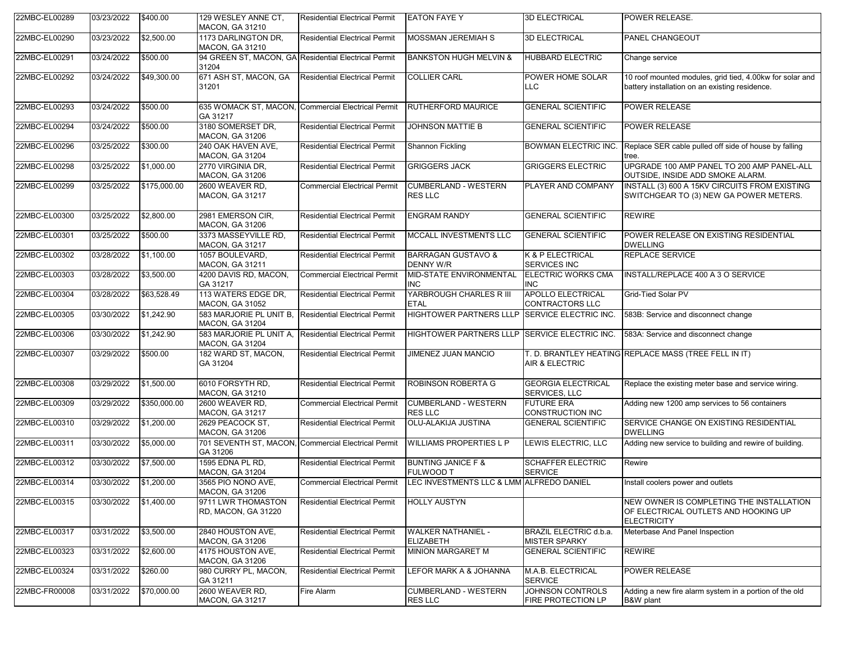| 22MBC-EL00289 | 03/23/2022 | \$400.00     | 129 WESLEY ANNE CT.<br><b>MACON, GA 31210</b>                 | <b>Residential Electrical Permit</b>                | <b>EATON FAYE Y</b>                               | <b>3D ELECTRICAL</b>                               | <b>POWER RELEASE.</b>                                                                                      |
|---------------|------------|--------------|---------------------------------------------------------------|-----------------------------------------------------|---------------------------------------------------|----------------------------------------------------|------------------------------------------------------------------------------------------------------------|
| 22MBC-EL00290 | 03/23/2022 | \$2,500.00   | 1173 DARLINGTON DR.<br><b>MACON, GA 31210</b>                 | <b>Residential Electrical Permit</b>                | MOSSMAN JEREMIAH S                                | <b>3D ELECTRICAL</b>                               | PANEL CHANGEOUT                                                                                            |
| 22MBC-EL00291 | 03/24/2022 | \$500.00     | 94 GREEN ST, MACON, GA Residential Electrical Permit<br>31204 |                                                     | <b>BANKSTON HUGH MELVIN &amp;</b>                 | HUBBARD ELECTRIC                                   | Change service                                                                                             |
| 22MBC-EL00292 | 03/24/2022 | \$49,300.00  | 671 ASH ST, MACON, GA<br>31201                                | <b>Residential Electrical Permit</b>                | <b>COLLIER CARL</b>                               | POWER HOME SOLAR<br>LLC.                           | 10 roof mounted modules, grid tied, 4.00kw for solar and<br>battery installation on an existing residence. |
| 22MBC-EL00293 | 03/24/2022 | \$500.00     | GA 31217                                                      | 635 WOMACK ST, MACON, Commercial Electrical Permit  | RUTHERFORD MAURICE                                | <b>GENERAL SCIENTIFIC</b>                          | POWER RELEASE                                                                                              |
| 22MBC-EL00294 | 03/24/2022 | \$500.00     | 3180 SOMERSET DR.<br><b>MACON, GA 31206</b>                   | <b>Residential Electrical Permit</b>                | <b>JOHNSON MATTIE B</b>                           | <b>GENERAL SCIENTIFIC</b>                          | <b>POWER RELEASE</b>                                                                                       |
| 22MBC-EL00296 | 03/25/2022 | \$300.00     | 240 OAK HAVEN AVE,<br>MACON, GA 31204                         | <b>Residential Electrical Permit</b>                | Shannon Fickling                                  | <b>BOWMAN ELECTRIC INC.</b>                        | Replace SER cable pulled off side of house by falling<br>tree.                                             |
| 22MBC-EL00298 | 03/25/2022 | \$1,000.00   | 2770 VIRGINIA DR,<br><b>MACON, GA 31206</b>                   | <b>Residential Electrical Permit</b>                | <b>GRIGGERS JACK</b>                              | <b>GRIGGERS ELECTRIC</b>                           | UPGRADE 100 AMP PANEL TO 200 AMP PANEL-ALL<br>OUTSIDE, INSIDE ADD SMOKE ALARM.                             |
| 22MBC-EL00299 | 03/25/2022 | \$175,000.00 | 2600 WEAVER RD,<br><b>MACON, GA 31217</b>                     | <b>Commercial Electrical Permit</b>                 | <b>CUMBERLAND - WESTERN</b><br><b>RES LLC</b>     | PLAYER AND COMPANY                                 | INSTALL (3) 600 A 15KV CIRCUITS FROM EXISTING<br>SWITCHGEAR TO (3) NEW GA POWER METERS.                    |
| 22MBC-EL00300 | 03/25/2022 | \$2,800.00   | 2981 EMERSON CIR,<br><b>MACON, GA 31206</b>                   | <b>Residential Electrical Permit</b>                | <b>ENGRAM RANDY</b>                               | <b>GENERAL SCIENTIFIC</b>                          | <b>REWIRE</b>                                                                                              |
| 22MBC-EL00301 | 03/25/2022 | \$500.00     | 3373 MASSEYVILLE RD.<br><b>MACON, GA 31217</b>                | <b>Residential Electrical Permit</b>                | MCCALL INVESTMENTS LLC                            | <b>GENERAL SCIENTIFIC</b>                          | POWER RELEASE ON EXISTING RESIDENTIAL<br><b>DWELLING</b>                                                   |
| 22MBC-EL00302 | 03/28/2022 | \$1,100.00   | 1057 BOULEVARD,<br><b>MACON, GA 31211</b>                     | <b>Residential Electrical Permit</b>                | <b>BARRAGAN GUSTAVO &amp;</b><br><b>DENNY W/R</b> | K & P ELECTRICAL<br><b>SERVICES INC</b>            | <b>REPLACE SERVICE</b>                                                                                     |
| 22MBC-EL00303 | 03/28/2022 | \$3,500.00   | 4200 DAVIS RD, MACON,<br>GA 31217                             | <b>Commercial Electrical Permit</b>                 | MID-STATE ENVIRONMENTAL<br><b>INC</b>             | <b>ELECTRIC WORKS CMA</b><br><b>INC</b>            | INSTALL/REPLACE 400 A 3 O SERVICE                                                                          |
| 22MBC-EL00304 | 03/28/2022 | \$63,528.49  | 113 WATERS EDGE DR,<br><b>MACON, GA 31052</b>                 | <b>Residential Electrical Permit</b>                | YARBROUGH CHARLES R III<br><b>ETAL</b>            | <b>APOLLO ELECTRICAL</b><br><b>CONTRACTORS LLC</b> | Grid-Tied Solar PV                                                                                         |
| 22MBC-EL00305 | 03/30/2022 | \$1,242.90   | 583 MARJORIE PL UNIT B,<br><b>MACON, GA 31204</b>             | Residential Electrical Permit                       | <b>HIGHTOWER PARTNERS LLLP</b>                    | <b>SERVICE ELECTRIC INC.</b>                       | 583B: Service and disconnect change                                                                        |
| 22MBC-EL00306 | 03/30/2022 | \$1,242.90   | 583 MARJORIE PL UNIT A,<br><b>MACON, GA 31204</b>             | <b>Residential Electrical Permit</b>                | HIGHTOWER PARTNERS LLLP SERVICE ELECTRIC INC.     |                                                    | 583A: Service and disconnect change                                                                        |
| 22MBC-EL00307 | 03/29/2022 | \$500.00     | 182 WARD ST, MACON,<br>GA 31204                               | <b>Residential Electrical Permit</b>                | JIMENEZ JUAN MANCIO                               | AIR & ELECTRIC                                     | T. D. BRANTLEY HEATING REPLACE MASS (TREE FELL IN IT)                                                      |
| 22MBC-EL00308 | 03/29/2022 | \$1,500.00   | 6010 FORSYTH RD,<br>MACON, GA 31210                           | <b>Residential Electrical Permit</b>                | <b>ROBINSON ROBERTA G</b>                         | <b>GEORGIA ELECTRICAL</b><br>SERVICES, LLC         | Replace the existing meter base and service wiring.                                                        |
| 22MBC-EL00309 | 03/29/2022 | \$350,000.00 | 2600 WEAVER RD,<br><b>MACON, GA 31217</b>                     | <b>Commercial Electrical Permit</b>                 | <b>CUMBERLAND - WESTERN</b><br><b>RES LLC</b>     | <b>FUTURE ERA</b><br><b>CONSTRUCTION INC</b>       | Adding new 1200 amp services to 56 containers                                                              |
| 22MBC-EL00310 | 03/29/2022 | \$1,200.00   | 2629 PEACOCK ST,<br><b>MACON, GA 31206</b>                    | <b>Residential Electrical Permit</b>                | OLU-ALAKIJA JUSTINA                               | <b>GENERAL SCIENTIFIC</b>                          | SERVICE CHANGE ON EXISTING RESIDENTIAL<br><b>DWELLING</b>                                                  |
| 22MBC-EL00311 | 03/30/2022 | \$5,000.00   | GA 31206                                                      | 701 SEVENTH ST, MACON, Commercial Electrical Permit | <b>WILLIAMS PROPERTIES L P</b>                    | LEWIS ELECTRIC, LLC                                | Adding new service to building and rewire of building.                                                     |
| 22MBC-EL00312 | 03/30/2022 | \$7,500.00   | 1595 EDNA PL RD,<br>MACON, GA 31204                           | <b>Residential Electrical Permit</b>                | <b>BUNTING JANICE F &amp;</b><br>FULWOOD T        | <b>SCHAFFER ELECTRIC</b><br><b>SERVICE</b>         | Rewire                                                                                                     |
| 22MBC-EL00314 | 03/30/2022 | \$1,200.00   | 3565 PIO NONO AVE,<br>MACON, GA 31206                         | <b>Commercial Electrical Permit</b>                 | LEC INVESTMENTS LLC & LMM ALFREDO DANIEL          |                                                    | Install coolers power and outlets                                                                          |
| 22MBC-EL00315 | 03/30/2022 | \$1,400.00   | 9711 LWR THOMASTON<br>RD, MACON, GA 31220                     | <b>Residential Electrical Permit</b>                | <b>HOLLY AUSTYN</b>                               |                                                    | NEW OWNER IS COMPLETING THE INSTALLATION<br>OF ELECTRICAL OUTLETS AND HOOKING UP<br><b>ELECTRICITY</b>     |
| 22MBC-EL00317 | 03/31/2022 | \$3,500.00   | 2840 HOUSTON AVE,<br><b>MACON, GA 31206</b>                   | <b>Residential Electrical Permit</b>                | <b>WALKER NATHANIEL -</b><br><b>ELIZABETH</b>     | BRAZIL ELECTRIC d.b.a.<br><b>MISTER SPARKY</b>     | Meterbase And Panel Inspection                                                                             |
| 22MBC-EL00323 | 03/31/2022 | \$2,600.00   | 4175 HOUSTON AVE,<br><b>MACON, GA 31206</b>                   | <b>Residential Electrical Permit</b>                | MINION MARGARET M                                 | <b>GENERAL SCIENTIFIC</b>                          | <b>REWIRE</b>                                                                                              |
| 22MBC-EL00324 | 03/31/2022 | \$260.00     | 980 CURRY PL, MACON,<br>GA 31211                              | <b>Residential Electrical Permit</b>                | LEFOR MARK A & JOHANNA                            | M.A.B. ELECTRICAL<br><b>SERVICE</b>                | <b>POWER RELEASE</b>                                                                                       |
| 22MBC-FR00008 | 03/31/2022 | \$70,000.00  | 2600 WEAVER RD,<br>MACON, GA 31217                            | Fire Alarm                                          | <b>CUMBERLAND - WESTERN</b><br>RES LLC            | <b>JOHNSON CONTROLS</b><br>FIRE PROTECTION LP      | Adding a new fire alarm system in a portion of the old<br>B&W plant                                        |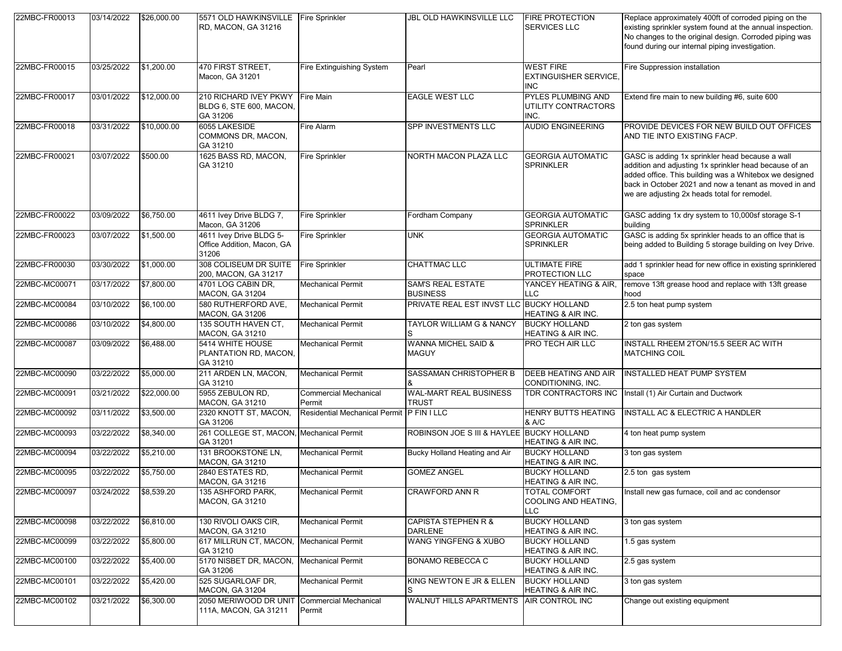| 22MBC-FR00013 | 03/14/2022            | \$26,000.00 | 5571 OLD HAWKINSVILLE Fire Sprinkler<br>RD, MACON, GA 31216    |                                        | <b>JBL OLD HAWKINSVILLE LLC</b>                | <b>FIRE PROTECTION</b><br>SERVICES LLC                         | Replace approximately 400ft of corroded piping on the<br>existing sprinkler system found at the annual inspection.<br>No changes to the original design. Corroded piping was<br>found during our internal piping investigation.                                              |
|---------------|-----------------------|-------------|----------------------------------------------------------------|----------------------------------------|------------------------------------------------|----------------------------------------------------------------|------------------------------------------------------------------------------------------------------------------------------------------------------------------------------------------------------------------------------------------------------------------------------|
| 22MBC-FR00015 | 03/25/2022            | \$1,200.00  | 470 FIRST STREET.<br>Macon, GA 31201                           | Fire Extinguishing System              | Pearl                                          | <b>WEST FIRE</b><br><b>EXTINGUISHER SERVICE,</b><br><b>INC</b> | Fire Suppression installation                                                                                                                                                                                                                                                |
| 22MBC-FR00017 | 03/01/2022            | \$12,000.00 | 210 RICHARD IVEY PKWY<br>BLDG 6, STE 600, MACON,<br>GA 31206   | <b>Fire Main</b>                       | <b>EAGLE WEST LLC</b>                          | PYLES PLUMBING AND<br>UTILITY CONTRACTORS<br>INC.              | Extend fire main to new building #6, suite 600                                                                                                                                                                                                                               |
| 22MBC-FR00018 | 03/31/2022            | \$10,000.00 | 6055 LAKESIDE<br>COMMONS DR, MACON,<br>GA 31210                | Fire Alarm                             | SPP INVESTMENTS LLC                            | <b>AUDIO ENGINEERING</b>                                       | PROVIDE DEVICES FOR NEW BUILD OUT OFFICES<br>AND TIE INTO EXISTING FACP.                                                                                                                                                                                                     |
| 22MBC-FR00021 | 03/07/2022            | \$500.00    | 1625 BASS RD, MACON,<br>GA 31210                               | <b>Fire Sprinkler</b>                  | NORTH MACON PLAZA LLC                          | <b>GEORGIA AUTOMATIC</b><br><b>SPRINKLER</b>                   | GASC is adding 1x sprinkler head because a wall<br>addition and adjusting 1x sprinkler head because of an<br>added office. This building was a Whitebox we designed<br>back in October 2021 and now a tenant as moved in and<br>we are adjusting 2x heads total for remodel. |
| 22MBC-FR00022 | 03/09/2022            | \$6,750.00  | 4611 Ivey Drive BLDG 7,<br>Macon, GA 31206                     | <b>Fire Sprinkler</b>                  | Fordham Company                                | <b>GEORGIA AUTOMATIC</b><br><b>SPRINKLER</b>                   | GASC adding 1x dry system to 10,000sf storage S-1<br>building                                                                                                                                                                                                                |
| 22MBC-FR00023 | 03/07/2022            | \$1,500.00  | 4611 Ivey Drive BLDG 5-<br>Office Addition, Macon, GA<br>31206 | Fire Sprinkler                         | <b>UNK</b>                                     | <b>GEORGIA AUTOMATIC</b><br><b>SPRINKLER</b>                   | GASC is adding 5x sprinkler heads to an office that is<br>being added to Building 5 storage building on Ivey Drive.                                                                                                                                                          |
| 22MBC-FR00030 | 03/30/2022            | \$1,000.00  | 308 COLISEUM DR SUITE<br>200, MACON, GA 31217                  | Fire Sprinkler                         | <b>CHATTMAC LLC</b>                            | <b>ULTIMATE FIRE</b><br>PROTECTION LLC                         | add 1 sprinkler head for new office in existing sprinklered<br>space                                                                                                                                                                                                         |
| 22MBC-MC00071 | 03/17/2022            | \$7,800.00  | 4701 LOG CABIN DR.<br><b>MACON, GA 31204</b>                   | <b>Mechanical Permit</b>               | <b>SAM'S REAL ESTATE</b><br><b>BUSINESS</b>    | YANCEY HEATING & AIR.<br>LLC                                   | remove 13ft grease hood and replace with 13ft grease<br>hood                                                                                                                                                                                                                 |
| 22MBC-MC00084 | 03/10/2022            | \$6,100.00  | 580 RUTHERFORD AVE.<br>MACON, GA 31206                         | <b>Mechanical Permit</b>               | PRIVATE REAL EST INVST LLC BUCKY HOLLAND       | HEATING & AIR INC.                                             | 2.5 ton heat pump system                                                                                                                                                                                                                                                     |
| 22MBC-MC00086 | 03/10/2022            | \$4,800.00  | 135 SOUTH HAVEN CT,<br>MACON, GA 31210                         | <b>Mechanical Permit</b>               | TAYLOR WILLIAM G & NANCY<br>S                  | <b>BUCKY HOLLAND</b><br><b>HEATING &amp; AIR INC.</b>          | 2 ton gas system                                                                                                                                                                                                                                                             |
| 22MBC-MC00087 | 03/09/2022            | \$6,488.00  | 5414 WHITE HOUSE<br>PLANTATION RD, MACON,<br>GA 31210          | <b>Mechanical Permit</b>               | <b>WANNA MICHEL SAID &amp;</b><br><b>MAGUY</b> | PRO TECH AIR LLC                                               | INSTALL RHEEM 2TON/15.5 SEER AC WITH<br>MATCHING COIL                                                                                                                                                                                                                        |
| 22MBC-MC00090 | 03/22/2022            | \$5,000.00  | 211 ARDEN LN, MACON,<br>GA 31210                               | <b>Mechanical Permit</b>               | SASSAMAN CHRISTOPHER B                         | <b>DEEB HEATING AND AIR</b><br>CONDITIONING, INC.              | <b>INSTALLED HEAT PUMP SYSTEM</b>                                                                                                                                                                                                                                            |
| 22MBC-MC00091 | 03/21/2022            | \$22,000.00 | 5955 ZEBULON RD,<br>MACON, GA 31210                            | <b>Commercial Mechanical</b><br>Permit | <b>WAL-MART REAL BUSINESS</b><br><b>TRUST</b>  | TDR CONTRACTORS INC                                            | Install (1) Air Curtain and Ductwork                                                                                                                                                                                                                                         |
| 22MBC-MC00092 | 03/11/2022            | \$3,500.00  | 2320 KNOTT ST, MACON,<br>GA 31206                              | <b>Residential Mechanical Permit</b>   | <b>PFINILLC</b>                                | <b>HENRY BUTTS HEATING</b><br>& A/C                            | <b>INSTALL AC &amp; ELECTRIC A HANDLER</b>                                                                                                                                                                                                                                   |
| 22MBC-MC00093 | 03/22/2022            | \$8,340.00  | 261 COLLEGE ST, MACON, Mechanical Permit<br>GA 31201           |                                        | ROBINSON JOE S III & HAYLEE BUCKY HOLLAND      | HEATING & AIR INC.                                             | 4 ton heat pump system                                                                                                                                                                                                                                                       |
| 22MBC-MC00094 | 03/22/2022            | \$5,210.00  | 131 BROOKSTONE LN,<br>MACON, GA 31210                          | <b>Mechanical Permit</b>               | Bucky Holland Heating and Air                  | <b>BUCKY HOLLAND</b><br>HEATING & AIR INC.                     | 3 ton gas system                                                                                                                                                                                                                                                             |
| 22MBC-MC00095 | 03/22/2022            | \$5,750.00  | 2840 ESTATES RD,<br><b>MACON, GA 31216</b>                     | <b>Mechanical Permit</b>               | <b>GOMEZ ANGEL</b>                             | <b>BUCKY HOLLAND</b><br>HEATING & AIR INC.                     | 2.5 ton gas system                                                                                                                                                                                                                                                           |
| 22MBC-MC00097 | 03/24/2022 \$8,539.20 |             | 135 ASHFORD PARK,<br>MACON, GA 31210                           | <b>Mechanical Permit</b>               | <b>CRAWFORD ANN R</b>                          | <b>TOTAL COMFORT</b><br>COOLING AND HEATING,<br>LLC            | Install new gas furnace, coil and ac condensor                                                                                                                                                                                                                               |
| 22MBC-MC00098 | 03/22/2022            | \$6,810.00  | 130 RIVOLI OAKS CIR,<br>MACON, GA 31210                        | <b>Mechanical Permit</b>               | CAPISTA STEPHEN R &<br>DARLENE                 | <b>BUCKY HOLLAND</b><br>HEATING & AIR INC.                     | 3 ton gas system                                                                                                                                                                                                                                                             |
| 22MBC-MC00099 | 03/22/2022            | \$5,800.00  | 617 MILLRUN CT, MACON, Mechanical Permit<br>GA 31210           |                                        | WANG YINGFENG & XUBO                           | <b>BUCKY HOLLAND</b><br>HEATING & AIR INC.                     | 1.5 gas system                                                                                                                                                                                                                                                               |
| 22MBC-MC00100 | 03/22/2022            | \$5,400.00  | 5170 NISBET DR, MACON,<br>GA 31206                             | <b>Mechanical Permit</b>               | <b>BONAMO REBECCA C</b>                        | <b>BUCKY HOLLAND</b><br><b>HEATING &amp; AIR INC.</b>          | 2.5 gas system                                                                                                                                                                                                                                                               |
| 22MBC-MC00101 | 03/22/2022            | \$5,420.00  | 525 SUGARLOAF DR.<br><b>MACON, GA 31204</b>                    | <b>Mechanical Permit</b>               | KING NEWTON E JR & ELLEN                       | <b>BUCKY HOLLAND</b><br>HEATING & AIR INC.                     | 3 ton gas system                                                                                                                                                                                                                                                             |
| 22MBC-MC00102 | 03/21/2022            | \$6,300.00  | 2050 MERIWOOD DR UNIT<br>111A, MACON, GA 31211                 | Commercial Mechanical<br>Permit        | WALNUT HILLS APARTMENTS AIR CONTROL INC        |                                                                | Change out existing equipment                                                                                                                                                                                                                                                |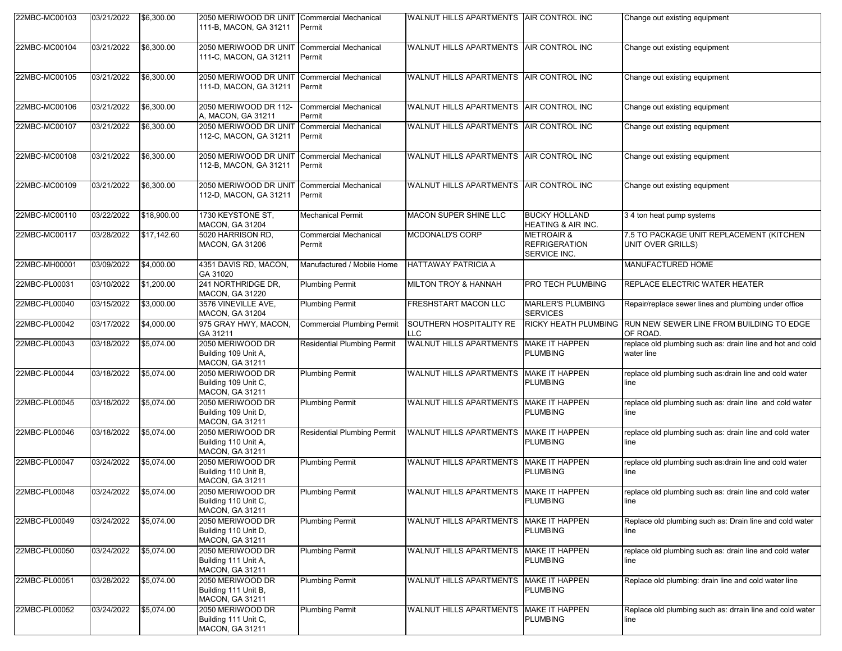| 22MBC-MC00103 | 03/21/2022 | \$6,300.00  | 2050 MERIWOOD DR UNIT<br>111-B. MACON. GA 31211                    | <b>Commercial Mechanical</b><br>Permit | WALNUT HILLS APARTMENTS AIR CONTROL INC  |                                                               | Change out existing equipment                                           |
|---------------|------------|-------------|--------------------------------------------------------------------|----------------------------------------|------------------------------------------|---------------------------------------------------------------|-------------------------------------------------------------------------|
| 22MBC-MC00104 | 03/21/2022 | \$6,300.00  | 2050 MERIWOOD DR UNIT<br>111-C, MACON, GA 31211                    | <b>Commercial Mechanical</b><br>Permit | WALNUT HILLS APARTMENTS AIR CONTROL INC  |                                                               | Change out existing equipment                                           |
| 22MBC-MC00105 | 03/21/2022 | \$6,300.00  | 2050 MERIWOOD DR UNIT<br>111-D, MACON, GA 31211                    | <b>Commercial Mechanical</b><br>Permit | WALNUT HILLS APARTMENTS AIR CONTROL INC  |                                                               | Change out existing equipment                                           |
| 22MBC-MC00106 | 03/21/2022 | \$6,300.00  | 2050 MERIWOOD DR 112-<br>A, MACON, GA 31211                        | <b>Commercial Mechanical</b><br>Permit | WALNUT HILLS APARTMENTS AIR CONTROL INC  |                                                               | Change out existing equipment                                           |
| 22MBC-MC00107 | 03/21/2022 | \$6,300.00  | 2050 MERIWOOD DR UNIT<br>112-C, MACON, GA 31211                    | <b>Commercial Mechanical</b><br>Permit | WALNUT HILLS APARTMENTS AIR CONTROL INC  |                                                               | Change out existing equipment                                           |
| 22MBC-MC00108 | 03/21/2022 | \$6,300.00  | 2050 MERIWOOD DR UNIT<br>112-B, MACON, GA 31211                    | <b>Commercial Mechanical</b><br>Permit | WALNUT HILLS APARTMENTS AIR CONTROL INC  |                                                               | Change out existing equipment                                           |
| 22MBC-MC00109 | 03/21/2022 | \$6,300.00  | 2050 MERIWOOD DR UNIT<br>112-D, MACON, GA 31211                    | <b>Commercial Mechanical</b><br>Permit | WALNUT HILLS APARTMENTS AIR CONTROL INC  |                                                               | Change out existing equipment                                           |
| 22MBC-MC00110 | 03/22/2022 | \$18,900.00 | 1730 KEYSTONE ST,<br><b>MACON, GA 31204</b>                        | Mechanical Permit                      | <b>MACON SUPER SHINE LLC</b>             | <b>BUCKY HOLLAND</b><br><b>HEATING &amp; AIR INC.</b>         | 3 4 ton heat pump systems                                               |
| 22MBC-MC00117 | 03/28/2022 | \$17,142.60 | 5020 HARRISON RD.<br><b>MACON, GA 31206</b>                        | <b>Commercial Mechanical</b><br>Permit | MCDONALD'S CORP                          | <b>METROAIR &amp;</b><br><b>REFRIGERATION</b><br>SERVICE INC. | 7.5 TO PACKAGE UNIT REPLACEMENT (KITCHEN<br>UNIT OVER GRILLS)           |
| 22MBC-MH00001 | 03/09/2022 | \$4,000.00  | 4351 DAVIS RD, MACON,<br>GA 31020                                  | Manufactured / Mobile Home             | <b>HATTAWAY PATRICIA A</b>               |                                                               | MANUFACTURED HOME                                                       |
| 22MBC-PL00031 | 03/10/2022 | \$1,200.00  | 241 NORTHRIDGE DR,<br><b>MACON, GA 31220</b>                       | <b>Plumbing Permit</b>                 | <b>MILTON TROY &amp; HANNAH</b>          | <b>PRO TECH PLUMBING</b>                                      | REPLACE ELECTRIC WATER HEATER                                           |
| 22MBC-PL00040 | 03/15/2022 | \$3,000.00  | 3576 VINEVILLE AVE,<br><b>MACON, GA 31204</b>                      | <b>Plumbing Permit</b>                 | <b>FRESHSTART MACON LLC</b>              | <b>MARLER'S PLUMBING</b><br><b>SERVICES</b>                   | Repair/replace sewer lines and plumbing under office                    |
| 22MBC-PL00042 | 03/17/2022 | \$4,000.00  | 975 GRAY HWY, MACON,<br>GA 31211                                   | <b>Commercial Plumbing Permit</b>      | SOUTHERN HOSPITALITY RE<br><b>LLC</b>    | <b>RICKY HEATH PLUMBING</b>                                   | RUN NEW SEWER LINE FROM BUILDING TO EDGE<br>OF ROAD.                    |
| 22MBC-PL00043 | 03/18/2022 | \$5,074.00  | 2050 MERIWOOD DR<br>Building 109 Unit A,<br><b>MACON, GA 31211</b> | <b>Residential Plumbing Permit</b>     | WALNUT HILLS APARTMENTS MAKE IT HAPPEN   | <b>PLUMBING</b>                                               | replace old plumbing such as: drain line and hot and cold<br>water line |
| 22MBC-PL00044 | 03/18/2022 | \$5,074.00  | 2050 MERIWOOD DR<br>Building 109 Unit C,<br><b>MACON, GA 31211</b> | <b>Plumbing Permit</b>                 | <b>WALNUT HILLS APARTMENTS</b>           | <b>MAKE IT HAPPEN</b><br><b>PLUMBING</b>                      | replace old plumbing such as:drain line and cold water<br>line          |
| 22MBC-PL00045 | 03/18/2022 | \$5,074.00  | 2050 MERIWOOD DR<br>Building 109 Unit D,<br><b>MACON, GA 31211</b> | <b>Plumbing Permit</b>                 | WALNUT HILLS APARTMENTS MAKE IT HAPPEN   | <b>PLUMBING</b>                                               | replace old plumbing such as: drain line and cold water<br>line         |
| 22MBC-PL00046 | 03/18/2022 | \$5,074.00  | 2050 MERIWOOD DR<br>Building 110 Unit A,<br><b>MACON, GA 31211</b> | <b>Residential Plumbing Permit</b>     | <b>WALNUT HILLS APARTMENTS</b>           | <b>MAKE IT HAPPEN</b><br><b>PLUMBING</b>                      | replace old plumbing such as: drain line and cold water<br>line         |
| 22MBC-PL00047 | 03/24/2022 | \$5,074.00  | 2050 MERIWOOD DR<br>Building 110 Unit B,<br><b>MACON, GA 31211</b> | <b>Plumbing Permit</b>                 | WALNUT HILLS APARTMENTS                  | <b>MAKE IT HAPPEN</b><br><b>PLUMBING</b>                      | replace old plumbing such as:drain line and cold water<br>line          |
| 22MBC-PL00048 | 03/24/2022 | \$5,074.00  | 2050 MERIWOOD DR<br>Building 110 Unit C,<br><b>MACON, GA 31211</b> | <b>Plumbing Permit</b>                 | WALNUT HILLS APARTMENTS   MAKE IT HAPPEN | <b>PLUMBING</b>                                               | replace old plumbing such as: drain line and cold water<br>line         |
| 22MBC-PL00049 | 03/24/2022 | \$5,074.00  | 2050 MERIWOOD DR<br>Building 110 Unit D,<br><b>MACON, GA 31211</b> | <b>Plumbing Permit</b>                 | WALNUT HILLS APARTMENTS MAKE IT HAPPEN   | <b>PLUMBING</b>                                               | Replace old plumbing such as: Drain line and cold water<br>line         |
| 22MBC-PL00050 | 03/24/2022 | \$5,074.00  | 2050 MERIWOOD DR<br>Building 111 Unit A,<br><b>MACON, GA 31211</b> | <b>Plumbing Permit</b>                 | WALNUT HILLS APARTMENTS MAKE IT HAPPEN   | <b>PLUMBING</b>                                               | replace old plumbing such as: drain line and cold water<br>line         |
| 22MBC-PL00051 | 03/28/2022 | \$5,074.00  | 2050 MERIWOOD DR<br>Building 111 Unit B,<br><b>MACON, GA 31211</b> | <b>Plumbing Permit</b>                 | WALNUT HILLS APARTMENTS   MAKE IT HAPPEN | <b>PLUMBING</b>                                               | Replace old plumbing: drain line and cold water line                    |
| 22MBC-PL00052 | 03/24/2022 | \$5,074.00  | 2050 MERIWOOD DR<br>Building 111 Unit C,<br>MACON, GA 31211        | <b>Plumbing Permit</b>                 | WALNUT HILLS APARTMENTS MAKE IT HAPPEN   | <b>PLUMBING</b>                                               | Replace old plumbing such as: drrain line and cold water<br>line        |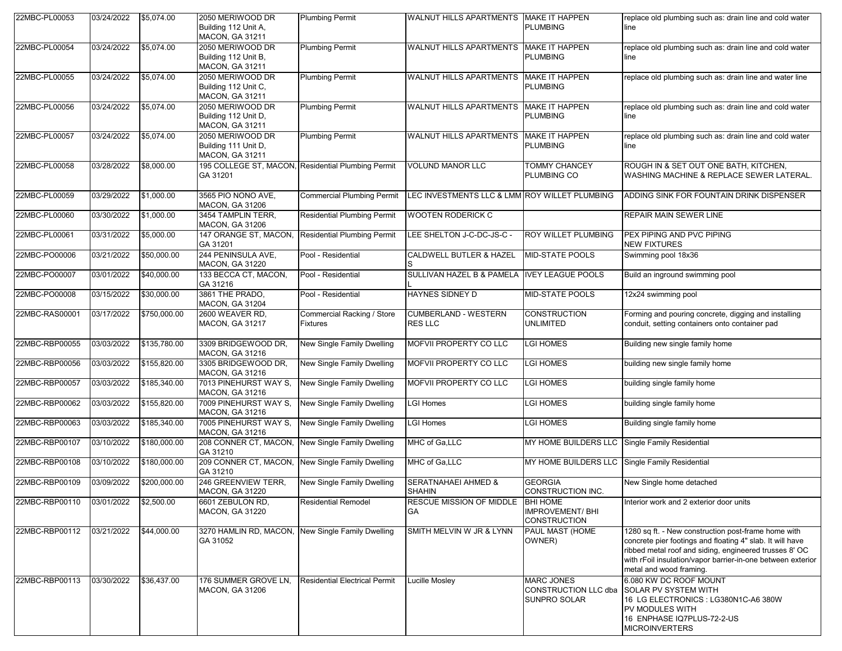| 22MBC-PL00053  | 03/24/2022 | \$5,074.00   | 2050 MERIWOOD DR<br>Building 112 Unit A,<br><b>MACON, GA 31211</b> | <b>Plumbing Permit</b>                             | WALNUT HILLS APARTMENTS                         | <b>MAKE IT HAPPEN</b><br><b>PLUMBING</b>                         | replace old plumbing such as: drain line and cold water<br>line                                                                                                                                                                                                      |
|----------------|------------|--------------|--------------------------------------------------------------------|----------------------------------------------------|-------------------------------------------------|------------------------------------------------------------------|----------------------------------------------------------------------------------------------------------------------------------------------------------------------------------------------------------------------------------------------------------------------|
| 22MBC-PL00054  | 03/24/2022 | \$5,074.00   | 2050 MERIWOOD DR<br>Building 112 Unit B,<br><b>MACON, GA 31211</b> | <b>Plumbing Permit</b>                             | WALNUT HILLS APARTMENTS                         | <b>MAKE IT HAPPEN</b><br><b>PLUMBING</b>                         | replace old plumbing such as: drain line and cold water<br>line                                                                                                                                                                                                      |
| 22MBC-PL00055  | 03/24/2022 | \$5,074.00   | 2050 MERIWOOD DR<br>Building 112 Unit C.<br>MACON, GA 31211        | <b>Plumbing Permit</b>                             | WALNUT HILLS APARTMENTS                         | <b>MAKE IT HAPPEN</b><br><b>PLUMBING</b>                         | replace old plumbing such as: drain line and water line                                                                                                                                                                                                              |
| 22MBC-PL00056  | 03/24/2022 | \$5,074.00   | 2050 MERIWOOD DR<br>Building 112 Unit D,<br><b>MACON, GA 31211</b> | <b>Plumbing Permit</b>                             | WALNUT HILLS APARTMENTS                         | <b>MAKE IT HAPPEN</b><br><b>PLUMBING</b>                         | replace old plumbing such as: drain line and cold water<br>line                                                                                                                                                                                                      |
| 22MBC-PL00057  | 03/24/2022 | \$5,074.00   | 2050 MERIWOOD DR<br>Building 111 Unit D.<br><b>MACON, GA 31211</b> | <b>Plumbing Permit</b>                             | WALNUT HILLS APARTMENTS                         | <b>MAKE IT HAPPEN</b><br><b>PLUMBING</b>                         | replace old plumbing such as: drain line and cold water<br>line                                                                                                                                                                                                      |
| 22MBC-PL00058  | 03/28/2022 | \$8,000.00   | GA 31201                                                           | 195 COLLEGE ST, MACON, Residential Plumbing Permit | <b>VOLUND MANOR LLC</b>                         | <b>TOMMY CHANCEY</b><br>PLUMBING CO                              | ROUGH IN & SET OUT ONE BATH, KITCHEN,<br>WASHING MACHINE & REPLACE SEWER LATERAL.                                                                                                                                                                                    |
| 22MBC-PL00059  | 03/29/2022 | \$1,000.00   | 3565 PIO NONO AVE,<br><b>MACON, GA 31206</b>                       | <b>Commercial Plumbing Permit</b>                  | LEC INVESTMENTS LLC & LMM ROY WILLET PLUMBING   |                                                                  | ADDING SINK FOR FOUNTAIN DRINK DISPENSER                                                                                                                                                                                                                             |
| 22MBC-PL00060  | 03/30/2022 | \$1,000.00   | 3454 TAMPLIN TERR,<br><b>MACON, GA 31206</b>                       | <b>Residential Plumbing Permit</b>                 | <b>WOOTEN RODERICK C</b>                        |                                                                  | REPAIR MAIN SEWER LINE                                                                                                                                                                                                                                               |
| 22MBC-PL00061  | 03/31/2022 | \$5,000.00   | 147 ORANGE ST, MACON,<br>GA 31201                                  | <b>Residential Plumbing Permit</b>                 | LEE SHELTON J-C-DC-JS-C -                       | <b>ROY WILLET PLUMBING</b>                                       | PEX PIPING AND PVC PIPING<br><b>NEW FIXTURES</b>                                                                                                                                                                                                                     |
| 22MBC-PO00006  | 03/21/2022 | \$50,000.00  | 244 PENINSULA AVE,<br><b>MACON, GA 31220</b>                       | Pool - Residential                                 | <b>CALDWELL BUTLER &amp; HAZEL</b>              | <b>MID-STATE POOLS</b>                                           | Swimming pool 18x36                                                                                                                                                                                                                                                  |
| 22MBC-PO00007  | 03/01/2022 | \$40,000.00  | 133 BECCA CT, MACON,<br>GA 31216                                   | Pool - Residential                                 | SULLIVAN HAZEL B & PAMELA                       | <b>IVEY LEAGUE POOLS</b>                                         | Build an inground swimming pool                                                                                                                                                                                                                                      |
| 22MBC-PO00008  | 03/15/2022 | \$30,000.00  | 3861 THE PRADO,<br><b>MACON, GA 31204</b>                          | Pool - Residential                                 | HAYNES SIDNEY D                                 | <b>MID-STATE POOLS</b>                                           | 12x24 swimming pool                                                                                                                                                                                                                                                  |
| 22MBC-RAS00001 | 03/17/2022 | \$750,000.00 | 2600 WEAVER RD,<br><b>MACON, GA 31217</b>                          | Commercial Racking / Store<br>Fixtures             | <b>CUMBERLAND - WESTERN</b><br><b>RES LLC</b>   | CONSTRUCTION<br>UNLIMITED                                        | Forming and pouring concrete, digging and installing<br>conduit, setting containers onto container pad                                                                                                                                                               |
| 22MBC-RBP00055 | 03/03/2022 | \$135,780.00 | 3309 BRIDGEWOOD DR.<br><b>MACON, GA 31216</b>                      | New Single Family Dwelling                         | MOFVII PROPERTY CO LLC                          | LGI HOMES                                                        | Building new single family home                                                                                                                                                                                                                                      |
| 22MBC-RBP00056 | 03/03/2022 | \$155,820.00 | 3305 BRIDGEWOOD DR.<br><b>MACON, GA 31216</b>                      | New Single Family Dwelling                         | MOFVII PROPERTY CO LLC                          | LGI HOMES                                                        | building new single family home                                                                                                                                                                                                                                      |
| 22MBC-RBP00057 | 03/03/2022 | \$185,340.00 | 7013 PINEHURST WAY S.<br>MACON, GA 31216                           | New Single Family Dwelling                         | MOFVII PROPERTY CO LLC                          | LGI HOMES                                                        | building single family home                                                                                                                                                                                                                                          |
| 22MBC-RBP00062 | 03/03/2022 | \$155,820.00 | 7009 PINEHURST WAY S,<br><b>MACON, GA 31216</b>                    | New Single Family Dwelling                         | <b>LGI Homes</b>                                | LGI HOMES                                                        | building single family home                                                                                                                                                                                                                                          |
| 22MBC-RBP00063 | 03/03/2022 | \$185,340.00 | 7005 PINEHURST WAY S,<br><b>MACON, GA 31216</b>                    | New Single Family Dwelling                         | <b>LGI Homes</b>                                | LGI HOMES                                                        | Building single family home                                                                                                                                                                                                                                          |
| 22MBC-RBP00107 | 03/10/2022 | \$180,000.00 | 208 CONNER CT, MACON,<br>GA 31210                                  | New Single Family Dwelling                         | MHC of Ga,LLC                                   | MY HOME BUILDERS LLC                                             | Single Family Residential                                                                                                                                                                                                                                            |
| 22MBC-RBP00108 | 03/10/2022 | \$180,000.00 | 209 CONNER CT, MACON,<br>GA 31210                                  | New Single Family Dwelling                         | MHC of Ga,LLC                                   | MY HOME BUILDERS LLC                                             | <b>Single Family Residential</b>                                                                                                                                                                                                                                     |
| 22MBC-RBP00109 | 03/09/2022 | \$200,000.00 | 246 GREENVIEW TERR.<br>MACON, GA 31220                             | New Single Family Dwelling                         | <b>SERATNAHAEI AHMED &amp;</b><br><b>SHAHIN</b> | <b>GEORGIA</b><br>CONSTRUCTION INC.                              | New Single home detached                                                                                                                                                                                                                                             |
| 22MBC-RBP00110 | 03/01/2022 | \$2,500.00   | 6601 ZEBULON RD,<br><b>MACON, GA 31220</b>                         | <b>Residential Remodel</b>                         | RESCUE MISSION OF MIDDLE<br>GA                  | <b>BHI HOME</b><br><b>IMPROVEMENT/BHI</b><br><b>CONSTRUCTION</b> | Interior work and 2 exterior door units                                                                                                                                                                                                                              |
| 22MBC-RBP00112 | 03/21/2022 | \$44,000.00  | 3270 HAMLIN RD, MACON,<br>GA 31052                                 | New Single Family Dwelling                         | SMITH MELVIN W JR & LYNN                        | PAUL MAST (HOME<br>OWNER)                                        | 1280 sq ft. - New construction post-frame home with<br>concrete pier footings and floating 4" slab. It will have<br>ribbed metal roof and siding, engineered trusses 8' OC<br>with rFoil insulation/vapor barrier-in-one between exterior<br>metal and wood framing. |
| 22MBC-RBP00113 | 03/30/2022 | \$36,437.00  | 176 SUMMER GROVE LN,<br><b>MACON, GA 31206</b>                     | <b>Residential Electrical Permit</b>               | Lucille Mosley                                  | <b>MARC JONES</b><br><b>CONSTRUCTION LLC dba</b><br>SUNPRO SOLAR | 6.080 KW DC ROOF MOUNT<br>SOLAR PV SYSTEM WITH<br>16 LG ELECTRONICS : LG380N1C-A6 380W<br>PV MODULES WITH<br>16 ENPHASE IQ7PLUS-72-2-US<br><b>MICROINVERTERS</b>                                                                                                     |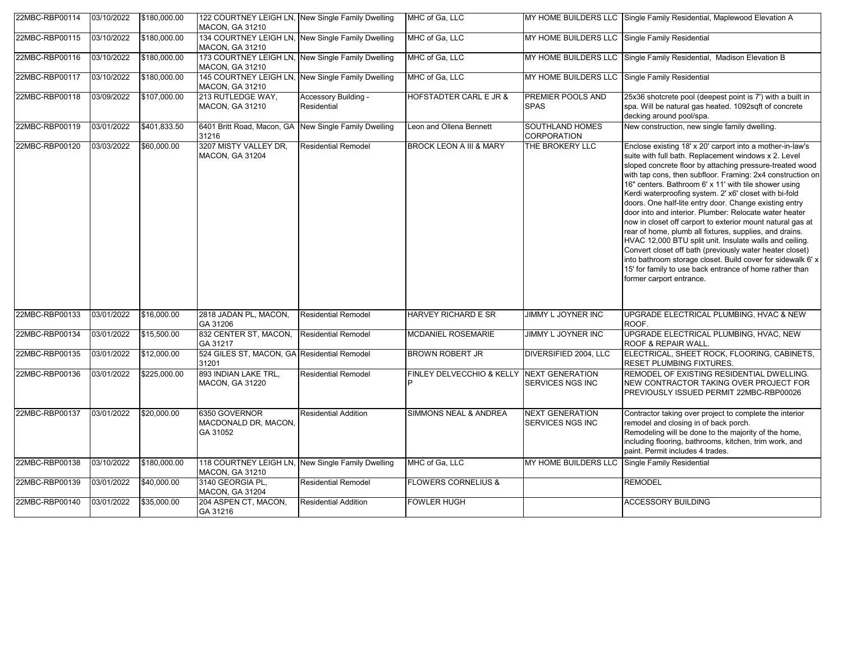| 22MBC-RBP00114 | 03/10/2022 | \$180,000.00 | 122 COURTNEY LEIGH LN, New Single Family Dwelling<br><b>MACON, GA 31210</b> |                                     | MHC of Ga, LLC                     |                                                | MY HOME BUILDERS LLC Single Family Residential, Maplewood Elevation A                                                                                                                                                                                                                                                                                                                                                                                                                                                                                                                                                                                                                                                                                                                                                                                                                    |
|----------------|------------|--------------|-----------------------------------------------------------------------------|-------------------------------------|------------------------------------|------------------------------------------------|------------------------------------------------------------------------------------------------------------------------------------------------------------------------------------------------------------------------------------------------------------------------------------------------------------------------------------------------------------------------------------------------------------------------------------------------------------------------------------------------------------------------------------------------------------------------------------------------------------------------------------------------------------------------------------------------------------------------------------------------------------------------------------------------------------------------------------------------------------------------------------------|
| 22MBC-RBP00115 | 03/10/2022 | \$180,000.00 | 134 COURTNEY LEIGH LN, New Single Family Dwelling<br>MACON, GA 31210        |                                     | MHC of Ga, LLC                     | MY HOME BUILDERS LLC Single Family Residential |                                                                                                                                                                                                                                                                                                                                                                                                                                                                                                                                                                                                                                                                                                                                                                                                                                                                                          |
| 22MBC-RBP00116 | 03/10/2022 | \$180,000.00 | 173 COURTNEY LEIGH LN, New Single Family Dwelling<br><b>MACON, GA 31210</b> |                                     | MHC of Ga, LLC                     |                                                | MY HOME BUILDERS LLC Single Family Residential, Madison Elevation B                                                                                                                                                                                                                                                                                                                                                                                                                                                                                                                                                                                                                                                                                                                                                                                                                      |
| 22MBC-RBP00117 | 03/10/2022 | \$180,000.00 | 145 COURTNEY LEIGH LN, New Single Family Dwelling<br>MACON, GA 31210        |                                     | MHC of Ga, LLC                     | MY HOME BUILDERS LLC Single Family Residential |                                                                                                                                                                                                                                                                                                                                                                                                                                                                                                                                                                                                                                                                                                                                                                                                                                                                                          |
| 22MBC-RBP00118 | 03/09/2022 | \$107,000.00 | 213 RUTLEDGE WAY.<br>MACON, GA 31210                                        | Accessory Building -<br>Residential | <b>HOFSTADTER CARL E JR &amp;</b>  | PREMIER POOLS AND<br><b>SPAS</b>               | 25x36 shotcrete pool (deepest point is 7') with a built in<br>spa. Will be natural gas heated. 1092sqft of concrete<br>decking around pool/spa.                                                                                                                                                                                                                                                                                                                                                                                                                                                                                                                                                                                                                                                                                                                                          |
| 22MBC-RBP00119 | 03/01/2022 | \$401,833.50 | 6401 Britt Road, Macon, GA New Single Family Dwelling<br>31216              |                                     | Leon and Ollena Bennett            | SOUTHLAND HOMES<br>CORPORATION                 | New construction, new single family dwelling.                                                                                                                                                                                                                                                                                                                                                                                                                                                                                                                                                                                                                                                                                                                                                                                                                                            |
| 22MBC-RBP00120 | 03/03/2022 | \$60,000.00  | 3207 MISTY VALLEY DR,<br>MACON, GA 31204                                    | <b>Residential Remodel</b>          | <b>BROCK LEON A III &amp; MARY</b> | THE BROKERY LLC                                | Enclose existing 18' x 20' carport into a mother-in-law's<br>suite with full bath. Replacement windows x 2. Level<br>sloped concrete floor by attaching pressure-treated wood<br>with tap cons, then subfloor. Framing: 2x4 construction on<br>16" centers. Bathroom 6' x 11' with tile shower using<br>Kerdi waterproofing system. 2' x6' closet with bi-fold<br>doors. One half-lite entry door. Change existing entry<br>door into and interior. Plumber: Relocate water heater<br>now in closet off carport to exterior mount natural gas at<br>rear of home, plumb all fixtures, supplies, and drains.<br>HVAC 12,000 BTU split unit. Insulate walls and ceiling.<br>Convert closet off bath (previously water heater closet)<br>into bathroom storage closet. Build cover for sidewalk 6' x<br>15' for family to use back entrance of home rather than<br>former carport entrance. |
| 22MBC-RBP00133 | 03/01/2022 | \$16,000.00  | 2818 JADAN PL, MACON,<br>GA 31206                                           | <b>Residential Remodel</b>          | HARVEY RICHARD E SR                | JIMMY L JOYNER INC                             | UPGRADE ELECTRICAL PLUMBING, HVAC & NEW<br>ROOF.                                                                                                                                                                                                                                                                                                                                                                                                                                                                                                                                                                                                                                                                                                                                                                                                                                         |
| 22MBC-RBP00134 | 03/01/2022 | \$15,500.00  | 832 CENTER ST, MACON,<br>GA 31217                                           | <b>Residential Remodel</b>          | <b>MCDANIEL ROSEMARIE</b>          | JIMMY L JOYNER INC                             | UPGRADE ELECTRICAL PLUMBING, HVAC, NEW<br><b>ROOF &amp; REPAIR WALL.</b>                                                                                                                                                                                                                                                                                                                                                                                                                                                                                                                                                                                                                                                                                                                                                                                                                 |
| 22MBC-RBP00135 | 03/01/2022 | \$12,000.00  | 524 GILES ST, MACON, GA Residential Remodel<br>31201                        |                                     | BROWN ROBERT JR                    | DIVERSIFIED 2004, LLC                          | ELECTRICAL, SHEET ROCK, FLOORING, CABINETS,<br>RESET PLUMBING FIXTURES.                                                                                                                                                                                                                                                                                                                                                                                                                                                                                                                                                                                                                                                                                                                                                                                                                  |
| 22MBC-RBP00136 | 03/01/2022 | \$225,000.00 | 893 INDIAN LAKE TRL,<br>MACON, GA 31220                                     | <b>Residential Remodel</b>          | FINLEY DELVECCHIO & KELLY          | <b>NEXT GENERATION</b><br>SERVICES NGS INC     | REMODEL OF EXISTING RESIDENTIAL DWELLING.<br>NEW CONTRACTOR TAKING OVER PROJECT FOR<br>PREVIOUSLY ISSUED PERMIT 22MBC-RBP00026                                                                                                                                                                                                                                                                                                                                                                                                                                                                                                                                                                                                                                                                                                                                                           |
| 22MBC-RBP00137 | 03/01/2022 | \$20,000.00  | 6350 GOVERNOR<br>MACDONALD DR, MACON,<br>GA 31052                           | <b>Residential Addition</b>         | <b>SIMMONS NEAL &amp; ANDREA</b>   | <b>NEXT GENERATION</b><br>SERVICES NGS INC     | Contractor taking over project to complete the interior<br>remodel and closing in of back porch.<br>Remodeling will be done to the majority of the home,<br>including flooring, bathrooms, kitchen, trim work, and<br>paint. Permit includes 4 trades.                                                                                                                                                                                                                                                                                                                                                                                                                                                                                                                                                                                                                                   |
| 22MBC-RBP00138 | 03/10/2022 | \$180,000.00 | 118 COURTNEY LEIGH LN, New Single Family Dwelling<br><b>MACON, GA 31210</b> |                                     | MHC of Ga, LLC                     | MY HOME BUILDERS LLC                           | Single Family Residential                                                                                                                                                                                                                                                                                                                                                                                                                                                                                                                                                                                                                                                                                                                                                                                                                                                                |
| 22MBC-RBP00139 | 03/01/2022 | \$40,000.00  | 3140 GEORGIA PL,<br><b>MACON, GA 31204</b>                                  | <b>Residential Remodel</b>          | <b>FLOWERS CORNELIUS &amp;</b>     |                                                | <b>REMODEL</b>                                                                                                                                                                                                                                                                                                                                                                                                                                                                                                                                                                                                                                                                                                                                                                                                                                                                           |
| 22MBC-RBP00140 | 03/01/2022 | \$35,000.00  | 204 ASPEN CT, MACON,<br>GA 31216                                            | <b>Residential Addition</b>         | <b>FOWLER HUGH</b>                 |                                                | <b>ACCESSORY BUILDING</b>                                                                                                                                                                                                                                                                                                                                                                                                                                                                                                                                                                                                                                                                                                                                                                                                                                                                |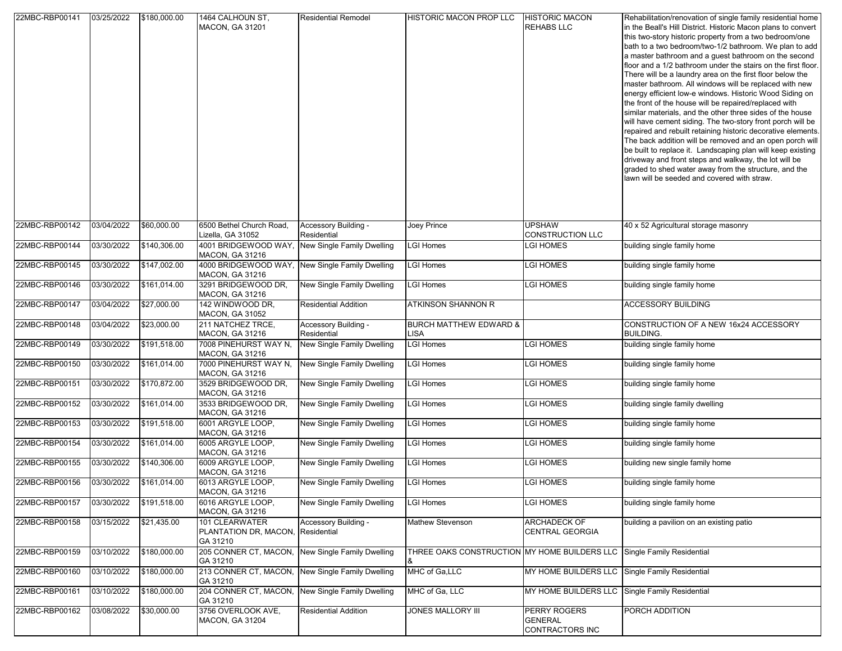| 22MBC-RBP00141 | 03/25/2022 | \$180,000.00 | 1464 CALHOUN ST,<br><b>MACON, GA 31201</b>                      | <b>Residential Remodel</b>          | HISTORIC MACON PROP LLC                           | <b>HISTORIC MACON</b><br><b>REHABS LLC</b>        | Rehabilitation/renovation of single family residential home<br>in the Beall's Hill District. Historic Macon plans to convert<br>this two-story historic property from a two bedroom/one<br>bath to a two bedroom/two-1/2 bathroom. We plan to add<br>a master bathroom and a guest bathroom on the second<br>floor and a 1/2 bathroom under the stairs on the first floor.<br>There will be a laundry area on the first floor below the<br>master bathroom. All windows will be replaced with new<br>energy efficient low-e windows. Historic Wood Siding on<br>the front of the house will be repaired/replaced with<br>similar materials, and the other three sides of the house<br>will have cement siding. The two-story front porch will be<br>repaired and rebuilt retaining historic decorative elements.<br>The back addition will be removed and an open porch will<br>be built to replace it. Landscaping plan will keep existing<br>driveway and front steps and walkway, the lot will be<br>graded to shed water away from the structure, and the<br>lawn will be seeded and covered with straw. |
|----------------|------------|--------------|-----------------------------------------------------------------|-------------------------------------|---------------------------------------------------|---------------------------------------------------|--------------------------------------------------------------------------------------------------------------------------------------------------------------------------------------------------------------------------------------------------------------------------------------------------------------------------------------------------------------------------------------------------------------------------------------------------------------------------------------------------------------------------------------------------------------------------------------------------------------------------------------------------------------------------------------------------------------------------------------------------------------------------------------------------------------------------------------------------------------------------------------------------------------------------------------------------------------------------------------------------------------------------------------------------------------------------------------------------------------|
| 22MBC-RBP00142 | 03/04/2022 | \$60,000.00  | 6500 Bethel Church Road,<br>Lizella, GA 31052                   | Accessory Building -<br>Residential | Joey Prince                                       | <b>JPSHAW</b><br>CONSTRUCTION LLC                 | 40 x 52 Agricultural storage masonry                                                                                                                                                                                                                                                                                                                                                                                                                                                                                                                                                                                                                                                                                                                                                                                                                                                                                                                                                                                                                                                                         |
| 22MBC-RBP00144 | 03/30/2022 | \$140,306.00 | 4001 BRIDGEWOOD WAY,<br>MACON, GA 31216                         | New Single Family Dwelling          | LGI Homes                                         | LGI HOMES                                         | building single family home                                                                                                                                                                                                                                                                                                                                                                                                                                                                                                                                                                                                                                                                                                                                                                                                                                                                                                                                                                                                                                                                                  |
| 22MBC-RBP00145 | 03/30/2022 | \$147,002.00 | 4000 BRIDGEWOOD WAY,<br>MACON, GA 31216                         | New Single Family Dwelling          | <b>LGI Homes</b>                                  | LGI HOMES                                         | building single family home                                                                                                                                                                                                                                                                                                                                                                                                                                                                                                                                                                                                                                                                                                                                                                                                                                                                                                                                                                                                                                                                                  |
| 22MBC-RBP00146 | 03/30/2022 | \$161,014.00 | 3291 BRIDGEWOOD DR,<br>MACON, GA 31216                          | New Single Family Dwelling          | <b>LGI Homes</b>                                  | <b>GI HOMES</b>                                   | building single family home                                                                                                                                                                                                                                                                                                                                                                                                                                                                                                                                                                                                                                                                                                                                                                                                                                                                                                                                                                                                                                                                                  |
| 22MBC-RBP00147 | 03/04/2022 | \$27,000.00  | 142 WINDWOOD DR.<br><b>MACON, GA 31052</b>                      | <b>Residential Addition</b>         | ATKINSON SHANNON R                                |                                                   | <b>ACCESSORY BUILDING</b>                                                                                                                                                                                                                                                                                                                                                                                                                                                                                                                                                                                                                                                                                                                                                                                                                                                                                                                                                                                                                                                                                    |
| 22MBC-RBP00148 | 03/04/2022 | \$23,000.00  | 211 NATCHEZ TRCE,<br><b>MACON, GA 31216</b>                     | Accessory Building -<br>Residential | <b>BURCH MATTHEW EDWARD &amp;</b><br><b>LISA</b>  |                                                   | CONSTRUCTION OF A NEW 16x24 ACCESSORY<br><b>BUILDING.</b>                                                                                                                                                                                                                                                                                                                                                                                                                                                                                                                                                                                                                                                                                                                                                                                                                                                                                                                                                                                                                                                    |
| 22MBC-RBP00149 | 03/30/2022 | \$191,518.00 | 7008 PINEHURST WAY N,<br><b>MACON, GA 31216</b>                 | New Single Family Dwelling          | <b>LGI Homes</b>                                  | LGI HOMES                                         | building single family home                                                                                                                                                                                                                                                                                                                                                                                                                                                                                                                                                                                                                                                                                                                                                                                                                                                                                                                                                                                                                                                                                  |
| 22MBC-RBP00150 | 03/30/2022 | \$161,014.00 | 7000 PINEHURST WAY N,<br><b>MACON, GA 31216</b>                 | New Single Family Dwelling          | LGI Homes                                         | GI HOMES                                          | building single family home                                                                                                                                                                                                                                                                                                                                                                                                                                                                                                                                                                                                                                                                                                                                                                                                                                                                                                                                                                                                                                                                                  |
| 22MBC-RBP00151 | 03/30/2022 | \$170,872.00 | 3529 BRIDGEWOOD DR.<br><b>MACON, GA 31216</b>                   | New Single Family Dwelling          | LGI Homes                                         | GI HOMES                                          | building single family home                                                                                                                                                                                                                                                                                                                                                                                                                                                                                                                                                                                                                                                                                                                                                                                                                                                                                                                                                                                                                                                                                  |
| 22MBC-RBP00152 | 03/30/2022 | \$161,014.00 | 3533 BRIDGEWOOD DR.<br>MACON, GA 31216                          | New Single Family Dwelling          | <b>LGI Homes</b>                                  | <b>CI HOMES</b>                                   | building single family dwelling                                                                                                                                                                                                                                                                                                                                                                                                                                                                                                                                                                                                                                                                                                                                                                                                                                                                                                                                                                                                                                                                              |
| 22MBC-RBP00153 | 03/30/2022 | \$191,518.00 | 6001 ARGYLE LOOP,<br>MACON, GA 31216                            | New Single Family Dwelling          | <b>LGI Homes</b>                                  | <b>GI HOMES</b>                                   | building single family home                                                                                                                                                                                                                                                                                                                                                                                                                                                                                                                                                                                                                                                                                                                                                                                                                                                                                                                                                                                                                                                                                  |
| 22MBC-RBP00154 | 03/30/2022 | \$161,014.00 | 6005 ARGYLE LOOP,<br>MACON, GA 31216                            | New Single Family Dwelling          | <b>LGI Homes</b>                                  | LGI HOMES                                         | building single family home                                                                                                                                                                                                                                                                                                                                                                                                                                                                                                                                                                                                                                                                                                                                                                                                                                                                                                                                                                                                                                                                                  |
| 22MBC-RBP00155 | 03/30/2022 | \$140,306.00 | 6009 ARGYLE LOOP,<br>MACON, GA 31216                            | New Single Family Dwelling          | <b>LGI Homes</b>                                  | LGI HOMES                                         | building new single family home                                                                                                                                                                                                                                                                                                                                                                                                                                                                                                                                                                                                                                                                                                                                                                                                                                                                                                                                                                                                                                                                              |
| 22MBC-RBP00156 | 03/30/2022 | \$161.014.00 | 6013 ARGYLE LOOP,<br>MACON, GA 31216                            | New Single Family Dwelling          | LGI Homes                                         | <b>GI HOMES</b>                                   | building single family home                                                                                                                                                                                                                                                                                                                                                                                                                                                                                                                                                                                                                                                                                                                                                                                                                                                                                                                                                                                                                                                                                  |
| 22MBC-RBP00157 | 03/30/2022 | \$191,518.00 | 6016 ARGYLE LOOP,<br>MACON, GA 31216                            | New Single Family Dwelling          | <b>LGI Homes</b>                                  | <b>CI HOMES</b>                                   | building single family home                                                                                                                                                                                                                                                                                                                                                                                                                                                                                                                                                                                                                                                                                                                                                                                                                                                                                                                                                                                                                                                                                  |
| 22MBC-RBP00158 | 03/15/2022 | \$21,435.00  | 101 CLEARWATER<br>PLANTATION DR, MACON, Residential<br>GA 31210 | Accessory Building -                | Mathew Stevenson                                  | ARCHADECK OF<br>CENTRAL GEORGIA                   | building a pavilion on an existing patio                                                                                                                                                                                                                                                                                                                                                                                                                                                                                                                                                                                                                                                                                                                                                                                                                                                                                                                                                                                                                                                                     |
| 22MBC-RBP00159 | 03/10/2022 | \$180,000.00 | 205 CONNER CT, MACON,<br>GA 31210                               | New Single Family Dwelling          | THREE OAKS CONSTRUCTION MY HOME BUILDERS LLC<br>& |                                                   | Single Family Residential                                                                                                                                                                                                                                                                                                                                                                                                                                                                                                                                                                                                                                                                                                                                                                                                                                                                                                                                                                                                                                                                                    |
| 22MBC-RBP00160 | 03/10/2022 | \$180,000.00 | 213 CONNER CT, MACON,<br>GA 31210                               | New Single Family Dwelling          | MHC of Ga,LLC                                     | MY HOME BUILDERS LLC Single Family Residential    |                                                                                                                                                                                                                                                                                                                                                                                                                                                                                                                                                                                                                                                                                                                                                                                                                                                                                                                                                                                                                                                                                                              |
| 22MBC-RBP00161 | 03/10/2022 | \$180,000.00 | 204 CONNER CT, MACON,<br>GA 31210                               | New Single Family Dwelling          | MHC of Ga, LLC                                    | MY HOME BUILDERS LLC                              | Single Family Residential                                                                                                                                                                                                                                                                                                                                                                                                                                                                                                                                                                                                                                                                                                                                                                                                                                                                                                                                                                                                                                                                                    |
| 22MBC-RBP00162 | 03/08/2022 | \$30,000.00  | 3756 OVERLOOK AVE,<br>MACON, GA 31204                           | <b>Residential Addition</b>         | JONES MALLORY III                                 | PERRY ROGERS<br><b>GENERAL</b><br>CONTRACTORS INC | PORCH ADDITION                                                                                                                                                                                                                                                                                                                                                                                                                                                                                                                                                                                                                                                                                                                                                                                                                                                                                                                                                                                                                                                                                               |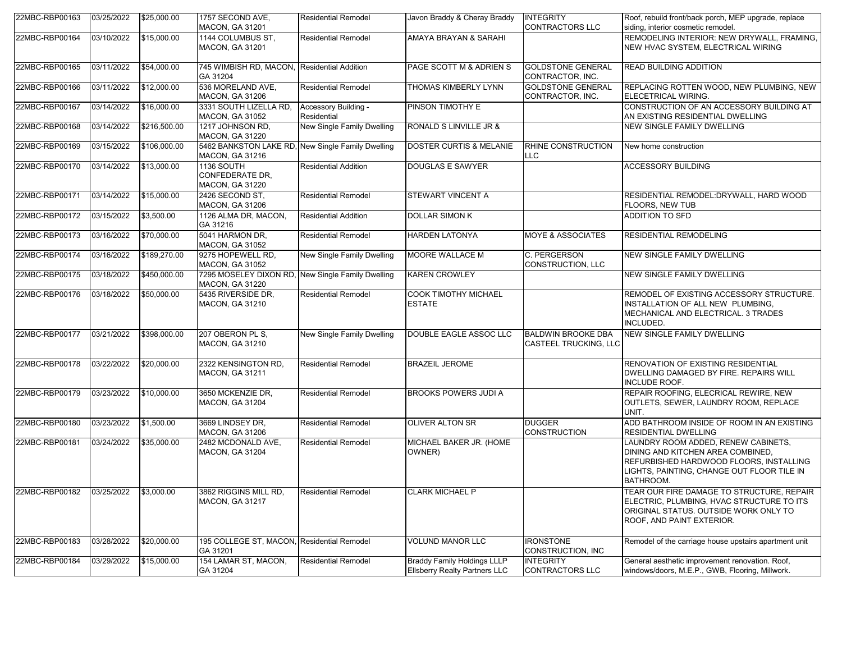| 22MBC-RBP00163 | 03/25/2022              | \$25,000.00  | 1757 SECOND AVE,<br><b>MACON, GA 31201</b>                                  | <b>Residential Remodel</b>          | Javon Braddy & Cheray Braddy                                               | <b>INTEGRITY</b><br><b>CONTRACTORS LLC</b>         | Roof, rebuild front/back porch, MEP upgrade, replace<br>siding, interior cosmetic remodel.                                                                                     |
|----------------|-------------------------|--------------|-----------------------------------------------------------------------------|-------------------------------------|----------------------------------------------------------------------------|----------------------------------------------------|--------------------------------------------------------------------------------------------------------------------------------------------------------------------------------|
| 22MBC-RBP00164 | 03/10/2022              | \$15,000.00  | 1144 COLUMBUS ST.<br>MACON, GA 31201                                        | <b>Residential Remodel</b>          | AMAYA BRAYAN & SARAHI                                                      |                                                    | REMODELING INTERIOR: NEW DRYWALL, FRAMING,<br>NEW HVAC SYSTEM, ELECTRICAL WIRING                                                                                               |
| 22MBC-RBP00165 | 03/11/2022              | \$54,000.00  | 745 WIMBISH RD, MACON, Residential Addition<br>GA 31204                     |                                     | PAGE SCOTT M & ADRIEN S                                                    | <b>GOLDSTONE GENERAL</b><br>CONTRACTOR, INC.       | <b>READ BUILDING ADDITION</b>                                                                                                                                                  |
| 22MBC-RBP00166 | 03/11/2022              | \$12,000.00  | 536 MORELAND AVE,<br><b>MACON, GA 31206</b>                                 | <b>Residential Remodel</b>          | <b>THOMAS KIMBERLY LYNN</b>                                                | <b>GOLDSTONE GENERAL</b><br>CONTRACTOR, INC.       | REPLACING ROTTEN WOOD, NEW PLUMBING, NEW<br>ELECETRICAL WIRING.                                                                                                                |
| 22MBC-RBP00167 | 03/14/2022              | \$16,000.00  | 3331 SOUTH LIZELLA RD,<br>MACON, GA 31052                                   | Accessory Building -<br>Residential | PINSON TIMOTHY E                                                           |                                                    | CONSTRUCTION OF AN ACCESSORY BUILDING AT<br>AN EXISTING RESIDENTIAL DWELLING                                                                                                   |
| 22MBC-RBP00168 | 03/14/2022              | \$216,500.00 | 1217 JOHNSON RD,<br><b>MACON, GA 31220</b>                                  | <b>New Single Family Dwelling</b>   | RONALD S LINVILLE JR &                                                     |                                                    | <b>NEW SINGLE FAMILY DWELLING</b>                                                                                                                                              |
| 22MBC-RBP00169 | 03/15/2022              | \$106,000.00 | 5462 BANKSTON LAKE RD, New Single Family Dwelling<br><b>MACON, GA 31216</b> |                                     | <b>DOSTER CURTIS &amp; MELANIE</b>                                         | RHINE CONSTRUCTION<br>LLC                          | New home construction                                                                                                                                                          |
| 22MBC-RBP00170 | 03/14/2022              | \$13,000.00  | 1136 SOUTH<br><b>CONFEDERATE DR.</b><br>MACON, GA 31220                     | <b>Residential Addition</b>         | <b>DOUGLAS E SAWYER</b>                                                    |                                                    | ACCESSORY BUILDING                                                                                                                                                             |
| 22MBC-RBP00171 | 03/14/2022              | \$15,000.00  | 2426 SECOND ST,<br>MACON, GA 31206                                          | <b>Residential Remodel</b>          | STEWART VINCENT A                                                          |                                                    | RESIDENTIAL REMODEL:DRYWALL, HARD WOOD<br>FLOORS, NEW TUB                                                                                                                      |
| 22MBC-RBP00172 | 03/15/2022              | \$3,500.00   | 1126 ALMA DR, MACON,<br>GA 31216                                            | <b>Residential Addition</b>         | <b>DOLLAR SIMON K</b>                                                      |                                                    | <b>ADDITION TO SFD</b>                                                                                                                                                         |
| 22MBC-RBP00173 | 03/16/2022              | \$70,000.00  | 5041 HARMON DR,<br><b>MACON, GA 31052</b>                                   | <b>Residential Remodel</b>          | <b>HARDEN LATONYA</b>                                                      | <b>MOYE &amp; ASSOCIATES</b>                       | <b>RESIDENTIAL REMODELING</b>                                                                                                                                                  |
| 22MBC-RBP00174 | 03/16/2022              | \$189,270.00 | 9275 HOPEWELL RD,<br><b>MACON, GA 31052</b>                                 | New Single Family Dwelling          | MOORE WALLACE M                                                            | C. PERGERSON<br><b>CONSTRUCTION, LLC</b>           | <b>NEW SINGLE FAMILY DWELLING</b>                                                                                                                                              |
| 22MBC-RBP00175 | 03/18/2022              | \$450,000.00 | 7295 MOSELEY DIXON RD, New Single Family Dwelling<br><b>MACON, GA 31220</b> |                                     | <b>KAREN CROWLEY</b>                                                       |                                                    | NEW SINGLE FAMILY DWELLING                                                                                                                                                     |
| 22MBC-RBP00176 | 03/18/2022              | \$50,000.00  | 5435 RIVERSIDE DR.<br>MACON, GA 31210                                       | <b>Residential Remodel</b>          | <b>COOK TIMOTHY MICHAEL</b><br><b>ESTATE</b>                               |                                                    | REMODEL OF EXISTING ACCESSORY STRUCTURE.<br>INSTALLATION OF ALL NEW PLUMBING,<br>MECHANICAL AND ELECTRICAL. 3 TRADES<br>INCLUDED.                                              |
| 22MBC-RBP00177 | 03/21/2022              | \$398,000.00 | 207 OBERON PL S,<br><b>MACON, GA 31210</b>                                  | New Single Family Dwelling          | DOUBLE EAGLE ASSOC LLC                                                     | <b>BALDWIN BROOKE DBA</b><br>CASTEEL TRUCKING, LLC | <b>NEW SINGLE FAMILY DWELLING</b>                                                                                                                                              |
| 22MBC-RBP00178 | 03/22/2022              | \$20,000.00  | 2322 KENSINGTON RD,<br><b>MACON, GA 31211</b>                               | <b>Residential Remodel</b>          | <b>BRAZEIL JEROME</b>                                                      |                                                    | RENOVATION OF EXISTING RESIDENTIAL<br>DWELLING DAMAGED BY FIRE. REPAIRS WILL<br>INCLUDE ROOF.                                                                                  |
| 22MBC-RBP00179 | 03/23/2022              | \$10,000.00  | 3650 MCKENZIE DR.<br><b>MACON, GA 31204</b>                                 | <b>Residential Remodel</b>          | <b>BROOKS POWERS JUDI A</b>                                                |                                                    | REPAIR ROOFING, ELECRICAL REWIRE, NEW<br>OUTLETS, SEWER, LAUNDRY ROOM, REPLACE<br>UNIT.                                                                                        |
| 22MBC-RBP00180 | 03/23/2022              | \$1,500.00   | 3669 LINDSEY DR,<br>MACON, GA 31206                                         | <b>Residential Remodel</b>          | <b>OLIVER ALTON SR</b>                                                     | <b>DUGGER</b><br><b>CONSTRUCTION</b>               | ADD BATHROOM INSIDE OF ROOM IN AN EXISTING<br>RESIDENTIAL DWELLING                                                                                                             |
| 22MBC-RBP00181 | 03/24/2022              | \$35,000.00  | 2482 MCDONALD AVE,<br><b>MACON, GA 31204</b>                                | <b>Residential Remodel</b>          | MICHAEL BAKER JR. (HOME<br>OWNER)                                          |                                                    | LAUNDRY ROOM ADDED, RENEW CABINETS,<br>DINING AND KITCHEN AREA COMBINED,<br>REFURBISHED HARDWOOD FLOORS, INSTALLING<br>LIGHTS, PAINTING, CHANGE OUT FLOOR TILE IN<br>BATHROOM. |
| 22MBC-RBP00182 | $03/25/2022$ \$3,000.00 |              | 3862 RIGGINS MILL RD,<br><b>MACON, GA 31217</b>                             | Residential Remodel                 | <b>CLARK MICHAEL P</b>                                                     |                                                    | TEAR OUR FIRE DAMAGE TO STRUCTURE, REPAIR<br>ELECTRIC, PLUMBING, HVAC STRUCTURE TO ITS<br>ORIGINAL STATUS. OUTSIDE WORK ONLY TO<br>ROOF, AND PAINT EXTERIOR.                   |
| 22MBC-RBP00183 | 03/28/2022              | \$20,000.00  | 195 COLLEGE ST, MACON, Residential Remodel<br>GA 31201                      |                                     | <b>VOLUND MANOR LLC</b>                                                    | <b>IRONSTONE</b><br>CONSTRUCTION, INC              | Remodel of the carriage house upstairs apartment unit                                                                                                                          |
| 22MBC-RBP00184 | 03/29/2022              | \$15,000.00  | 154 LAMAR ST, MACON,<br>GA 31204                                            | <b>Residential Remodel</b>          | <b>Braddy Family Holdings LLLP</b><br><b>Ellsberry Realty Partners LLC</b> | <b>INTEGRITY</b><br><b>CONTRACTORS LLC</b>         | General aesthetic improvement renovation. Roof,<br>windows/doors, M.E.P., GWB, Flooring, Millwork.                                                                             |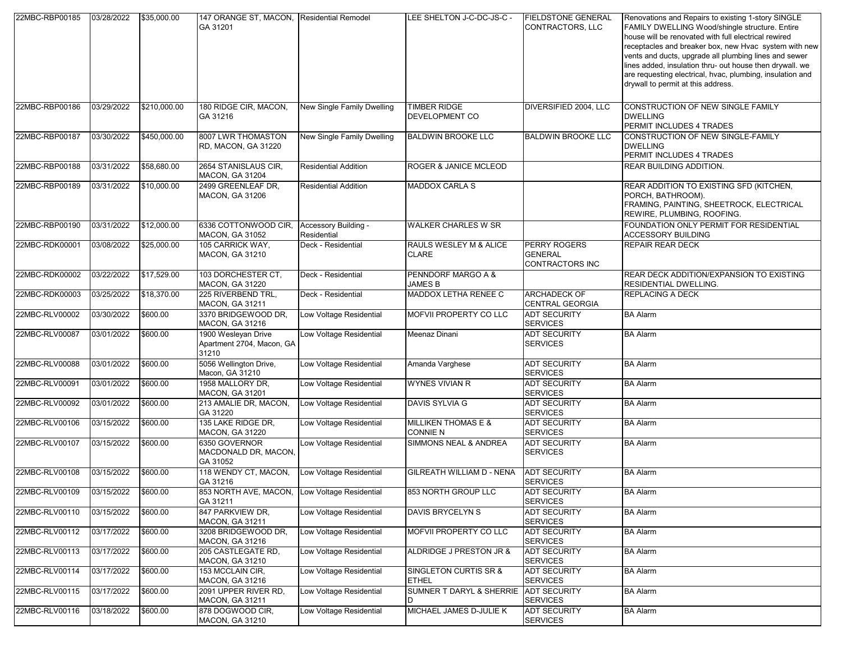| 22MBC-RBP00185 | 03/28/2022          | \$35,000.00  | 147 ORANGE ST, MACON, Residential Remodel<br>GA 31201     |                                     | LEE SHELTON J-C-DC-JS-C -                         | <b>FIELDSTONE GENERAL</b><br>CONTRACTORS, LLC            | Renovations and Repairs to existing 1-story SINGLE<br>FAMILY DWELLING Wood/shingle structure. Entire<br>house will be renovated with full electrical rewired<br>receptacles and breaker box, new Hvac system with new<br>vents and ducts, upgrade all plumbing lines and sewer<br>lines added, insulation thru- out house then drywall. we<br>are requesting electrical, hvac, plumbing, insulation and<br>drywall to permit at this address. |
|----------------|---------------------|--------------|-----------------------------------------------------------|-------------------------------------|---------------------------------------------------|----------------------------------------------------------|-----------------------------------------------------------------------------------------------------------------------------------------------------------------------------------------------------------------------------------------------------------------------------------------------------------------------------------------------------------------------------------------------------------------------------------------------|
| 22MBC-RBP00186 | 03/29/2022          | \$210,000.00 | 180 RIDGE CIR, MACON,<br>GA 31216                         | New Single Family Dwelling          | <b>TIMBER RIDGE</b><br>DEVELOPMENT CO             | DIVERSIFIED 2004, LLC                                    | CONSTRUCTION OF NEW SINGLE FAMILY<br><b>DWELLING</b><br>PERMIT INCLUDES 4 TRADES                                                                                                                                                                                                                                                                                                                                                              |
| 22MBC-RBP00187 | 03/30/2022          | \$450,000.00 | 8007 LWR THOMASTON<br>RD, MACON, GA 31220                 | New Single Family Dwelling          | <b>BALDWIN BROOKE LLC</b>                         | <b>BALDWIN BROOKE LLC</b>                                | CONSTRUCTION OF NEW SINGLE-FAMILY<br><b>DWELLING</b><br>PERMIT INCLUDES 4 TRADES                                                                                                                                                                                                                                                                                                                                                              |
| 22MBC-RBP00188 | 03/31/2022          | \$58,680.00  | 2654 STANISLAUS CIR,<br><b>MACON, GA 31204</b>            | <b>Residential Addition</b>         | <b>ROGER &amp; JANICE MCLEOD</b>                  |                                                          | REAR BUILDING ADDITION.                                                                                                                                                                                                                                                                                                                                                                                                                       |
| 22MBC-RBP00189 | 03/31/2022          | \$10,000.00  | 2499 GREENLEAF DR,<br><b>MACON, GA 31206</b>              | <b>Residential Addition</b>         | <b>MADDOX CARLA S</b>                             |                                                          | REAR ADDITION TO EXISTING SFD (KITCHEN,<br>PORCH, BATHROOM).<br>FRAMING, PAINTING, SHEETROCK, ELECTRICAL<br>REWIRE, PLUMBING, ROOFING.                                                                                                                                                                                                                                                                                                        |
| 22MBC-RBP00190 | 03/31/2022          | \$12,000.00  | 6336 COTTONWOOD CIR,<br>MACON, GA 31052                   | Accessory Building -<br>Residential | <b>WALKER CHARLES W SR</b>                        |                                                          | FOUNDATION ONLY PERMIT FOR RESIDENTIAL<br>ACCESSORY BUILDING                                                                                                                                                                                                                                                                                                                                                                                  |
| 22MBC-RDK00001 | 03/08/2022          | \$25,000.00  | 105 CARRICK WAY,<br><b>MACON, GA 31210</b>                | Deck - Residential                  | RAULS WESLEY M & ALICE<br><b>CLARE</b>            | <b>PERRY ROGERS</b><br><b>GENERAL</b><br>CONTRACTORS INC | REPAIR REAR DECK                                                                                                                                                                                                                                                                                                                                                                                                                              |
| 22MBC-RDK00002 | 03/22/2022          | \$17,529.00  | 103 DORCHESTER CT,<br><b>MACON, GA 31220</b>              | Deck - Residential                  | PENNDORF MARGO A &<br><b>JAMES B</b>              |                                                          | REAR DECK ADDITION/EXPANSION TO EXISTING<br>RESIDENTIAL DWELLING.                                                                                                                                                                                                                                                                                                                                                                             |
| 22MBC-RDK00003 | 03/25/2022          | \$18,370.00  | 225 RIVERBEND TRL,<br><b>MACON, GA 31211</b>              | Deck - Residential                  | MADDOX LETHA RENEE C                              | <b>ARCHADECK OF</b><br><b>CENTRAL GEORGIA</b>            | REPLACING A DECK                                                                                                                                                                                                                                                                                                                                                                                                                              |
| 22MBC-RLV00002 | 03/30/2022          | \$600.00     | 3370 BRIDGEWOOD DR,<br>MACON, GA 31216                    | Low Voltage Residential             | MOFVII PROPERTY CO LLC                            | <b>ADT SECURITY</b><br><b>SERVICES</b>                   | <b>BA Alarm</b>                                                                                                                                                                                                                                                                                                                                                                                                                               |
| 22MBC-RLV00087 | 03/01/2022          | \$600.00     | 1900 Wesleyan Drive<br>Apartment 2704, Macon, GA<br>31210 | Low Voltage Residential             | Meenaz Dinani                                     | ADT SECURITY<br><b>SERVICES</b>                          | <b>BA Alarm</b>                                                                                                                                                                                                                                                                                                                                                                                                                               |
| 22MBC-RLV00088 | 03/01/2022          | \$600.00     | 5056 Wellington Drive,<br>Macon, GA 31210                 | Low Voltage Residential             | Amanda Varghese                                   | <b>ADT SECURITY</b><br><b>SERVICES</b>                   | <b>BA Alarm</b>                                                                                                                                                                                                                                                                                                                                                                                                                               |
| 22MBC-RLV00091 | 03/01/2022          | \$600.00     | 1958 MALLORY DR,<br><b>MACON, GA 31201</b>                | Low Voltage Residential             | <b>WYNES VIVIAN R</b>                             | ADT SECURITY<br><b>SERVICES</b>                          | <b>BA Alarm</b>                                                                                                                                                                                                                                                                                                                                                                                                                               |
| 22MBC-RLV00092 | 03/01/2022          | \$600.00     | 213 AMALIE DR, MACON,<br>GA 31220                         | Low Voltage Residential             | DAVIS SYLVIA G                                    | <b>ADT SECURITY</b><br><b>SERVICES</b>                   | <b>BA Alarm</b>                                                                                                                                                                                                                                                                                                                                                                                                                               |
| 22MBC-RLV00106 | 03/15/2022          | \$600.00     | 135 LAKE RIDGE DR,<br><b>MACON, GA 31220</b>              | Low Voltage Residential             | <b>MILLIKEN THOMAS E &amp;</b><br><b>CONNIE N</b> | <b>ADT SECURITY</b><br><b>SERVICES</b>                   | <b>BA Alarm</b>                                                                                                                                                                                                                                                                                                                                                                                                                               |
| 22MBC-RLV00107 | 03/15/2022          | \$600.00     | 6350 GOVERNOR<br>MACDONALD DR, MACON,<br>GA 31052         | Low Voltage Residential             | SIMMONS NEAL & ANDREA                             | <b>ADT SECURITY</b><br><b>SERVICES</b>                   | <b>BA Alarm</b>                                                                                                                                                                                                                                                                                                                                                                                                                               |
| 22MBC-RLV00108 | 03/15/2022          | \$600.00     | 118 WENDY CT, MACON,<br>GA 31216                          | Low Voltage Residential             | GILREATH WILLIAM D - NENA                         | <b>ADT SECURITY</b><br><b>SERVICES</b>                   | <b>BA</b> Alarm                                                                                                                                                                                                                                                                                                                                                                                                                               |
| 22MBC-RLV00109 | 03/15/2022 \$600.00 |              | 853 NORTH AVE, MACON, Low Voltage Residential<br>GA 31211 |                                     | 853 NORTH GROUP LLC                               | <b>ADT SECURITY</b><br><b>SERVICES</b>                   | <b>BA Alarm</b>                                                                                                                                                                                                                                                                                                                                                                                                                               |
| 22MBC-RLV00110 | 03/15/2022          | \$600.00     | 847 PARKVIEW DR,<br>MACON, GA 31211                       | Low Voltage Residential             | DAVIS BRYCELYN S                                  | <b>ADT SECURITY</b><br><b>SERVICES</b>                   | <b>BA Alarm</b>                                                                                                                                                                                                                                                                                                                                                                                                                               |
| 22MBC-RLV00112 | 03/17/2022          | \$600.00     | 3208 BRIDGEWOOD DR,<br>MACON, GA 31216                    | Low Voltage Residential             | MOFVII PROPERTY CO LLC                            | ADT SECURITY<br><b>SERVICES</b>                          | <b>BA Alarm</b>                                                                                                                                                                                                                                                                                                                                                                                                                               |
| 22MBC-RLV00113 | 03/17/2022          | \$600.00     | 205 CASTLEGATE RD,<br>MACON, GA 31210                     | Low Voltage Residential             | ALDRIDGE J PRESTON JR &                           | ADT SECURITY<br><b>SERVICES</b>                          | <b>BA Alarm</b>                                                                                                                                                                                                                                                                                                                                                                                                                               |
| 22MBC-RLV00114 | 03/17/2022          | \$600.00     | 153 MCCLAIN CIR,<br>MACON, GA 31216                       | Low Voltage Residential             | SINGLETON CURTIS SR &<br><b>ETHEL</b>             | ADT SECURITY<br><b>SERVICES</b>                          | <b>BA Alarm</b>                                                                                                                                                                                                                                                                                                                                                                                                                               |
| 22MBC-RLV00115 | 03/17/2022          | \$600.00     | 2091 UPPER RIVER RD.<br><b>MACON, GA 31211</b>            | Low Voltage Residential             | SUMNER T DARYL & SHERRIE<br>D                     | <b>ADT SECURITY</b><br><b>SERVICES</b>                   | <b>BA Alarm</b>                                                                                                                                                                                                                                                                                                                                                                                                                               |
| 22MBC-RLV00116 | 03/18/2022          | \$600.00     | 878 DOGWOOD CIR,<br>MACON, GA 31210                       | Low Voltage Residential             | MICHAEL JAMES D-JULIE K                           | <b>ADT SECURITY</b><br><b>SERVICES</b>                   | <b>BA Alarm</b>                                                                                                                                                                                                                                                                                                                                                                                                                               |